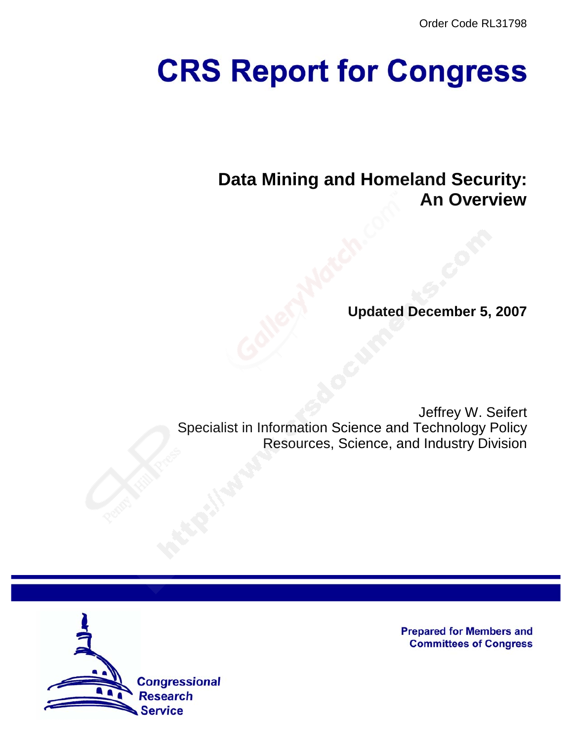# **CRS Report for Congress**

**Data Mining and Homeland Security: An Overview**

**Updated December 5, 2007**

Jeffrey W. Seifert Specialist in Information Science and Technology Policy Resources, Science, and Industry Division



**Prepared for Members and Committees of Congress**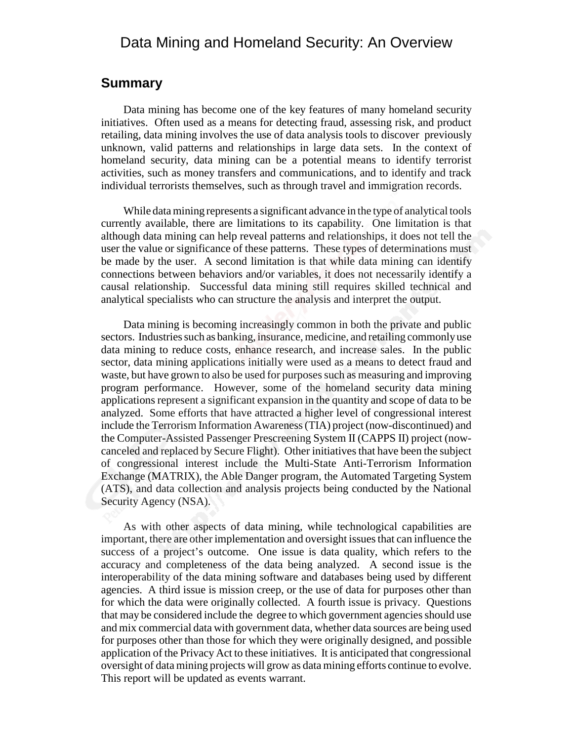# Data Mining and Homeland Security: An Overview

## **Summary**

Data mining has become one of the key features of many homeland security initiatives. Often used as a means for detecting fraud, assessing risk, and product retailing, data mining involves the use of data analysis tools to discover previously unknown, valid patterns and relationships in large data sets. In the context of homeland security, data mining can be a potential means to identify terrorist activities, such as money transfers and communications, and to identify and track individual terrorists themselves, such as through travel and immigration records.

While data mining represents a significant advance in the type of analytical tools currently available, there are limitations to its capability. One limitation is that although data mining can help reveal patterns and relationships, it does not tell the user the value or significance of these patterns. These types of determinations must be made by the user. A second limitation is that while data mining can identify connections between behaviors and/or variables, it does not necessarily identify a causal relationship. Successful data mining still requires skilled technical and analytical specialists who can structure the analysis and interpret the output.

Data mining is becoming increasingly common in both the private and public sectors. Industries such as banking, insurance, medicine, and retailing commonly use data mining to reduce costs, enhance research, and increase sales. In the public sector, data mining applications initially were used as a means to detect fraud and waste, but have grown to also be used for purposes such as measuring and improving program performance. However, some of the homeland security data mining applications represent a significant expansion in the quantity and scope of data to be analyzed. Some efforts that have attracted a higher level of congressional interest include the Terrorism Information Awareness (TIA) project (now-discontinued) and the Computer-Assisted Passenger Prescreening System II (CAPPS II) project (nowcanceled and replaced by Secure Flight). Other initiatives that have been the subject of congressional interest include the Multi-State Anti-Terrorism Information Exchange (MATRIX), the Able Danger program, the Automated Targeting System (ATS), and data collection and analysis projects being conducted by the National Security Agency (NSA).

As with other aspects of data mining, while technological capabilities are important, there are other implementation and oversight issues that can influence the success of a project's outcome. One issue is data quality, which refers to the accuracy and completeness of the data being analyzed. A second issue is the interoperability of the data mining software and databases being used by different agencies. A third issue is mission creep, or the use of data for purposes other than for which the data were originally collected. A fourth issue is privacy. Questions that may be considered include the degree to which government agencies should use and mix commercial data with government data, whether data sources are being used for purposes other than those for which they were originally designed, and possible application of the Privacy Act to these initiatives. It is anticipated that congressional oversight of data mining projects will grow as data mining efforts continue to evolve. This report will be updated as events warrant.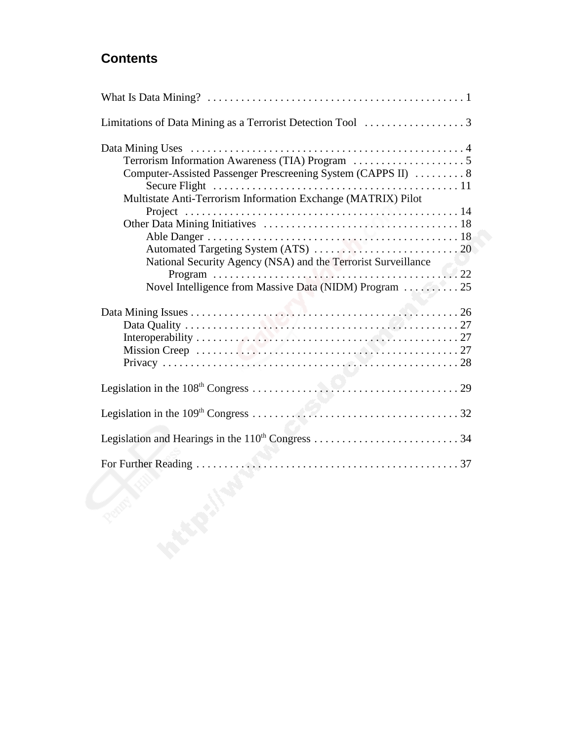# **Contents**

| Computer-Assisted Passenger Prescreening System (CAPPS II)  8 |
|---------------------------------------------------------------|
|                                                               |
| Multistate Anti-Terrorism Information Exchange (MATRIX) Pilot |
|                                                               |
|                                                               |
|                                                               |
|                                                               |
| National Security Agency (NSA) and the Terrorist Surveillance |
|                                                               |
| Novel Intelligence from Massive Data (NIDM) Program  25       |
|                                                               |
|                                                               |
|                                                               |
|                                                               |
|                                                               |
|                                                               |
|                                                               |
|                                                               |
|                                                               |
|                                                               |
|                                                               |
|                                                               |
| <b>PERS</b>                                                   |
|                                                               |
|                                                               |
|                                                               |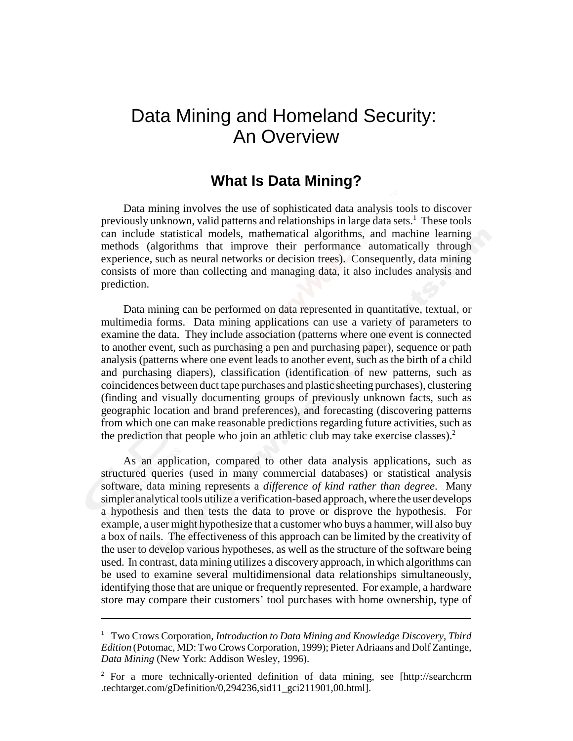# Data Mining and Homeland Security: An Overview

## **What Is Data Mining?**

Data mining involves the use of sophisticated data analysis tools to discover previously unknown, valid patterns and relationships in large data sets.<sup>1</sup> These tools can include statistical models, mathematical algorithms, and machine learning methods (algorithms that improve their performance automatically through experience, such as neural networks or decision trees). Consequently, data mining consists of more than collecting and managing data, it also includes analysis and prediction.

Data mining can be performed on data represented in quantitative, textual, or multimedia forms. Data mining applications can use a variety of parameters to examine the data. They include association (patterns where one event is connected to another event, such as purchasing a pen and purchasing paper), sequence or path analysis (patterns where one event leads to another event, such as the birth of a child and purchasing diapers), classification (identification of new patterns, such as coincidences between duct tape purchases and plastic sheeting purchases), clustering (finding and visually documenting groups of previously unknown facts, such as geographic location and brand preferences), and forecasting (discovering patterns from which one can make reasonable predictions regarding future activities, such as the prediction that people who join an athletic club may take exercise classes). $2$ 

As an application, compared to other data analysis applications, such as structured queries (used in many commercial databases) or statistical analysis software, data mining represents a *difference of kind rather than degree*. Many simpler analytical tools utilize a verification-based approach, where the user develops a hypothesis and then tests the data to prove or disprove the hypothesis. For example, a user might hypothesize that a customer who buys a hammer, will also buy a box of nails. The effectiveness of this approach can be limited by the creativity of the user to develop various hypotheses, as well as the structure of the software being used. In contrast, data mining utilizes a discovery approach, in which algorithms can be used to examine several multidimensional data relationships simultaneously, identifying those that are unique or frequently represented. For example, a hardware store may compare their customers' tool purchases with home ownership, type of

<sup>&</sup>lt;sup>1</sup> Two Crows Corporation, *Introduction to Data Mining and Knowledge Discovery, Third Edition* (Potomac, MD: Two Crows Corporation, 1999); Pieter Adriaans and Dolf Zantinge, *Data Mining* (New York: Addison Wesley, 1996).

<sup>&</sup>lt;sup>2</sup> For a more technically-oriented definition of data mining, see [http://searchcrm .techtarget.com/gDefinition/0,294236,sid11\_gci211901,00.html].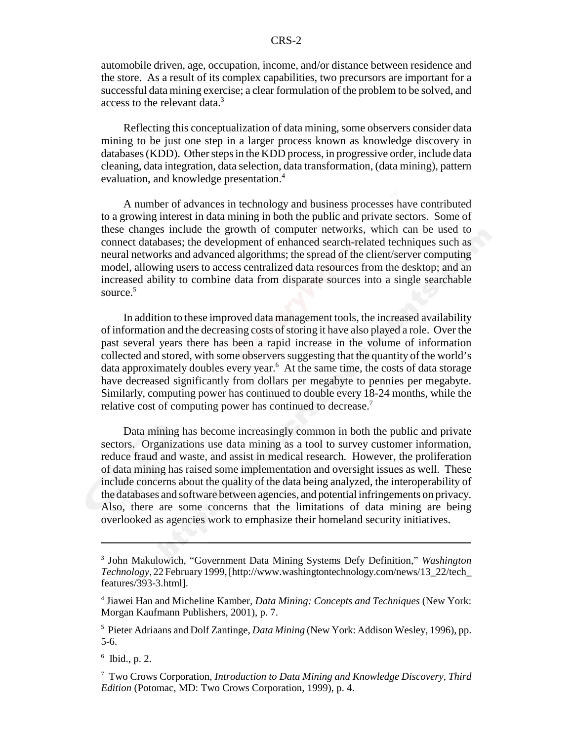automobile driven, age, occupation, income, and/or distance between residence and the store. As a result of its complex capabilities, two precursors are important for a successful data mining exercise; a clear formulation of the problem to be solved, and access to the relevant data.<sup>3</sup>

Reflecting this conceptualization of data mining, some observers consider data mining to be just one step in a larger process known as knowledge discovery in databases (KDD). Other steps in the KDD process, in progressive order, include data cleaning, data integration, data selection, data transformation, (data mining), pattern evaluation, and knowledge presentation.<sup>4</sup>

A number of advances in technology and business processes have contributed to a growing interest in data mining in both the public and private sectors. Some of these changes include the growth of computer networks, which can be used to connect databases; the development of enhanced search-related techniques such as neural networks and advanced algorithms; the spread of the client/server computing model, allowing users to access centralized data resources from the desktop; and an increased ability to combine data from disparate sources into a single searchable source.<sup>5</sup>

In addition to these improved data management tools, the increased availability of information and the decreasing costs of storing it have also played a role. Over the past several years there has been a rapid increase in the volume of information collected and stored, with some observers suggesting that the quantity of the world's data approximately doubles every year.<sup>6</sup> At the same time, the costs of data storage have decreased significantly from dollars per megabyte to pennies per megabyte. Similarly, computing power has continued to double every 18-24 months, while the relative cost of computing power has continued to decrease.<sup>7</sup>

Data mining has become increasingly common in both the public and private sectors. Organizations use data mining as a tool to survey customer information, reduce fraud and waste, and assist in medical research. However, the proliferation of data mining has raised some implementation and oversight issues as well. These include concerns about the quality of the data being analyzed, the interoperability of the databases and software between agencies, and potential infringements on privacy. Also, there are some concerns that the limitations of data mining are being overlooked as agencies work to emphasize their homeland security initiatives.

<sup>3</sup> John Makulowich, "Government Data Mining Systems Defy Definition," *Washington Technology*, 22 February 1999, [http://www.washingtontechnology.com/news/13\_22/tech\_ features/393-3.html].

<sup>4</sup> Jiawei Han and Micheline Kamber, *Data Mining: Concepts and Techniques* (New York: Morgan Kaufmann Publishers, 2001), p. 7.

<sup>5</sup> Pieter Adriaans and Dolf Zantinge, *Data Mining* (New York: Addison Wesley, 1996), pp. 5-6.

<sup>6</sup> Ibid., p. 2.

<sup>7</sup> Two Crows Corporation, *Introduction to Data Mining and Knowledge Discovery, Third Edition* (Potomac, MD: Two Crows Corporation, 1999), p. 4.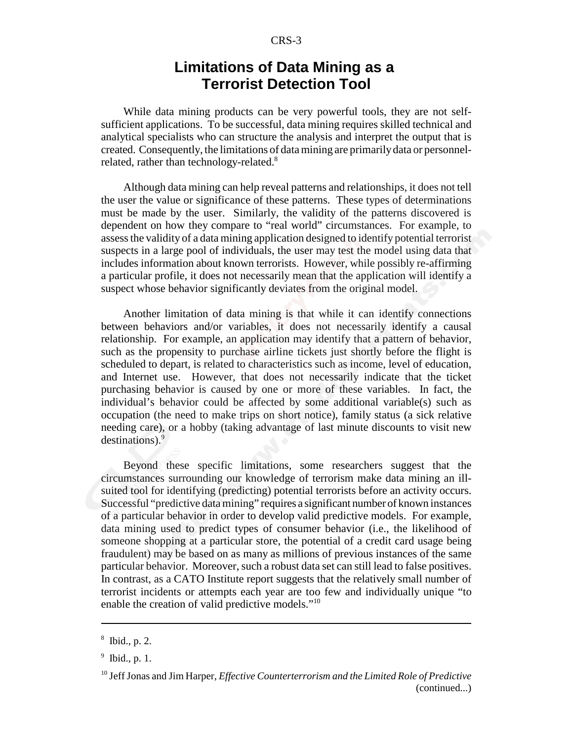# **Limitations of Data Mining as a Terrorist Detection Tool**

While data mining products can be very powerful tools, they are not selfsufficient applications. To be successful, data mining requires skilled technical and analytical specialists who can structure the analysis and interpret the output that is created. Consequently, the limitations of data mining are primarily data or personnelrelated, rather than technology-related.<sup>8</sup>

Although data mining can help reveal patterns and relationships, it does not tell the user the value or significance of these patterns. These types of determinations must be made by the user. Similarly, the validity of the patterns discovered is dependent on how they compare to "real world" circumstances. For example, to assess the validity of a data mining application designed to identify potential terrorist suspects in a large pool of individuals, the user may test the model using data that includes information about known terrorists. However, while possibly re-affirming a particular profile, it does not necessarily mean that the application will identify a suspect whose behavior significantly deviates from the original model.

Another limitation of data mining is that while it can identify connections between behaviors and/or variables, it does not necessarily identify a causal relationship. For example, an application may identify that a pattern of behavior, such as the propensity to purchase airline tickets just shortly before the flight is scheduled to depart, is related to characteristics such as income, level of education, and Internet use. However, that does not necessarily indicate that the ticket purchasing behavior is caused by one or more of these variables. In fact, the individual's behavior could be affected by some additional variable(s) such as occupation (the need to make trips on short notice), family status (a sick relative needing care), or a hobby (taking advantage of last minute discounts to visit new  $d$ estinations). $9<sup>9</sup>$ 

Beyond these specific limitations, some researchers suggest that the circumstances surrounding our knowledge of terrorism make data mining an illsuited tool for identifying (predicting) potential terrorists before an activity occurs. Successful "predictive data mining" requires a significant number of known instances of a particular behavior in order to develop valid predictive models. For example, data mining used to predict types of consumer behavior (i.e., the likelihood of someone shopping at a particular store, the potential of a credit card usage being fraudulent) may be based on as many as millions of previous instances of the same particular behavior. Moreover, such a robust data set can still lead to false positives. In contrast, as a CATO Institute report suggests that the relatively small number of terrorist incidents or attempts each year are too few and individually unique "to enable the creation of valid predictive models."<sup>10</sup>

<sup>8</sup> Ibid., p. 2.

<sup>9</sup> Ibid., p. 1.

<sup>10</sup> Jeff Jonas and Jim Harper, *Effective Counterterrorism and the Limited Role of Predictive* (continued...)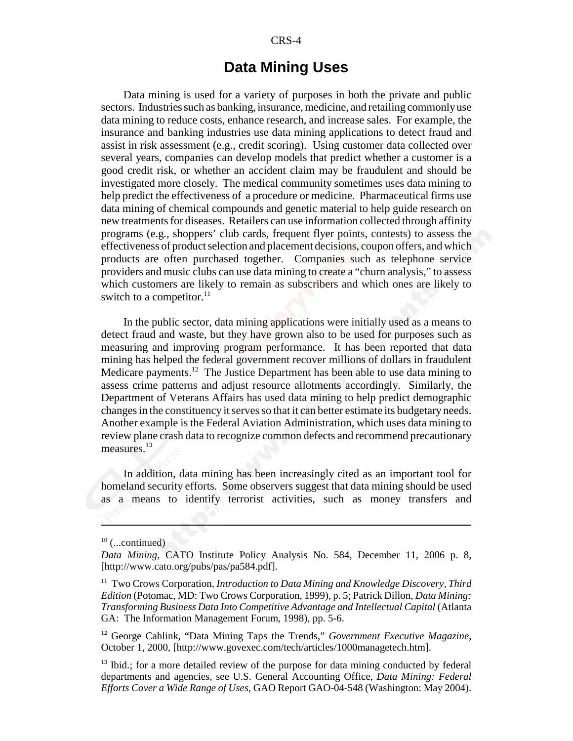## **Data Mining Uses**

Data mining is used for a variety of purposes in both the private and public sectors. Industries such as banking, insurance, medicine, and retailing commonly use data mining to reduce costs, enhance research, and increase sales. For example, the insurance and banking industries use data mining applications to detect fraud and assist in risk assessment (e.g., credit scoring). Using customer data collected over several years, companies can develop models that predict whether a customer is a good credit risk, or whether an accident claim may be fraudulent and should be investigated more closely. The medical community sometimes uses data mining to help predict the effectiveness of a procedure or medicine. Pharmaceutical firms use data mining of chemical compounds and genetic material to help guide research on new treatments for diseases. Retailers can use information collected through affinity programs (e.g., shoppers' club cards, frequent flyer points, contests) to assess the effectiveness of product selection and placement decisions, coupon offers, and which products are often purchased together. Companies such as telephone service providers and music clubs can use data mining to create a "churn analysis," to assess which customers are likely to remain as subscribers and which ones are likely to switch to a competitor. $^{11}$ 

In the public sector, data mining applications were initially used as a means to detect fraud and waste, but they have grown also to be used for purposes such as measuring and improving program performance. It has been reported that data mining has helped the federal government recover millions of dollars in fraudulent Medicare payments.<sup>12</sup> The Justice Department has been able to use data mining to assess crime patterns and adjust resource allotments accordingly. Similarly, the Department of Veterans Affairs has used data mining to help predict demographic changes in the constituency it serves so that it can better estimate its budgetary needs. Another example is the Federal Aviation Administration, which uses data mining to review plane crash data to recognize common defects and recommend precautionary measures.<sup>13</sup>

In addition, data mining has been increasingly cited as an important tool for homeland security efforts. Some observers suggest that data mining should be used as a means to identify terrorist activities, such as money transfers and

 $10$  (...continued)

*Data Mining*, CATO Institute Policy Analysis No. 584, December 11, 2006 p. 8, [http://www.cato.org/pubs/pas/pa584.pdf].

<sup>&</sup>lt;sup>11</sup> Two Crows Corporation, *Introduction to Data Mining and Knowledge Discovery*, *Third Edition* (Potomac, MD: Two Crows Corporation, 1999), p. 5; Patrick Dillon, *Data Mining: Transforming Business Data Into Competitive Advantage and Intellectual Capital* (Atlanta GA: The Information Management Forum, 1998), pp. 5-6.

<sup>12</sup> George Cahlink, "Data Mining Taps the Trends," *Government Executive Magazine*, October 1, 2000, [http://www.govexec.com/tech/articles/1000managetech.htm].

<sup>&</sup>lt;sup>13</sup> Ibid.; for a more detailed review of the purpose for data mining conducted by federal departments and agencies, see U.S. General Accounting Office, *Data Mining: Federal Efforts Cover a Wide Range of Uses*, GAO Report GAO-04-548 (Washington: May 2004).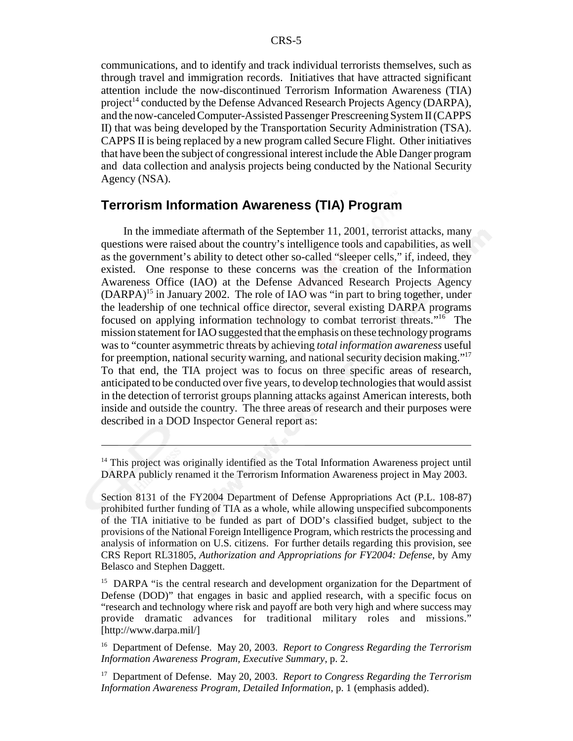communications, and to identify and track individual terrorists themselves, such as through travel and immigration records. Initiatives that have attracted significant attention include the now-discontinued Terrorism Information Awareness (TIA) project<sup>14</sup> conducted by the Defense Advanced Research Projects Agency (DARPA), and the now-canceled Computer-Assisted Passenger Prescreening System II (CAPPS II) that was being developed by the Transportation Security Administration (TSA). CAPPS II is being replaced by a new program called Secure Flight. Other initiatives that have been the subject of congressional interest include the Able Danger program and data collection and analysis projects being conducted by the National Security Agency (NSA).

## **Terrorism Information Awareness (TIA) Program**

In the immediate aftermath of the September 11, 2001, terrorist attacks, many questions were raised about the country's intelligence tools and capabilities, as well as the government's ability to detect other so-called "sleeper cells," if, indeed, they existed. One response to these concerns was the creation of the Information Awareness Office (IAO) at the Defense Advanced Research Projects Agency  $(DARPA)^{15}$  in January 2002. The role of IAO was "in part to bring together, under the leadership of one technical office director, several existing DARPA programs focused on applying information technology to combat terrorist threats."16 The mission statement for IAO suggested that the emphasis on these technology programs was to "counter asymmetric threats by achieving *total information awareness* useful for preemption, national security warning, and national security decision making."<sup>17</sup> To that end, the TIA project was to focus on three specific areas of research, anticipated to be conducted over five years, to develop technologies that would assist in the detection of terrorist groups planning attacks against American interests, both inside and outside the country. The three areas of research and their purposes were described in a DOD Inspector General report as:

 $14$  This project was originally identified as the Total Information Awareness project until DARPA publicly renamed it the Terrorism Information Awareness project in May 2003.

Section 8131 of the FY2004 Department of Defense Appropriations Act (P.L. 108-87) prohibited further funding of TIA as a whole, while allowing unspecified subcomponents of the TIA initiative to be funded as part of DOD's classified budget, subject to the provisions of the National Foreign Intelligence Program, which restricts the processing and analysis of information on U.S. citizens. For further details regarding this provision, see CRS Report RL31805, *Authorization and Appropriations for FY2004: Defense*, by Amy Belasco and Stephen Daggett.

<sup>&</sup>lt;sup>15</sup> DARPA "is the central research and development organization for the Department of Defense (DOD)" that engages in basic and applied research, with a specific focus on "research and technology where risk and payoff are both very high and where success may provide dramatic advances for traditional military roles and missions." [http://www.darpa.mil/]

<sup>16</sup> Department of Defense. May 20, 2003. *Report to Congress Regarding the Terrorism Information Awareness Program, Executive Summary*, p. 2.

<sup>17</sup> Department of Defense. May 20, 2003. *Report to Congress Regarding the Terrorism Information Awareness Program, Detailed Information*, p. 1 (emphasis added).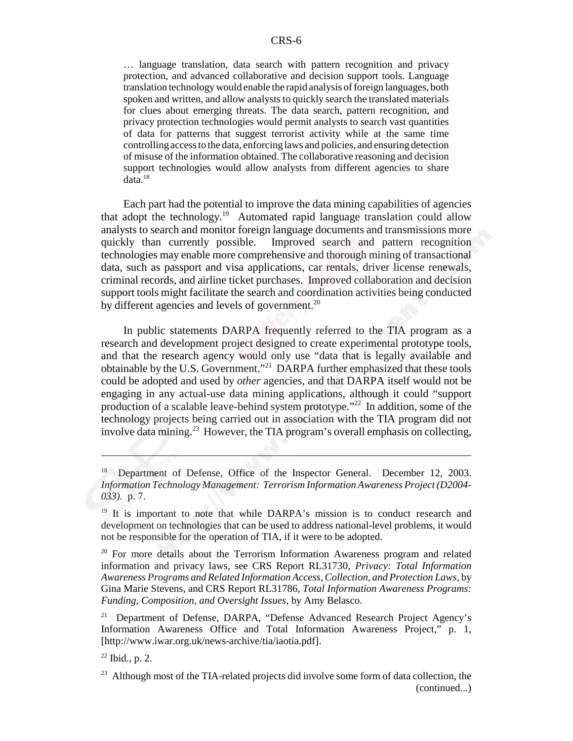… language translation, data search with pattern recognition and privacy protection, and advanced collaborative and decision support tools. Language translation technology would enable the rapid analysis of foreign languages, both spoken and written, and allow analysts to quickly search the translated materials for clues about emerging threats. The data search, pattern recognition, and privacy protection technologies would permit analysts to search vast quantities of data for patterns that suggest terrorist activity while at the same time controlling access to the data, enforcing laws and policies, and ensuring detection of misuse of the information obtained. The collaborative reasoning and decision support technologies would allow analysts from different agencies to share data.<sup>18</sup>

Each part had the potential to improve the data mining capabilities of agencies that adopt the technology.19 Automated rapid language translation could allow analysts to search and monitor foreign language documents and transmissions more quickly than currently possible. Improved search and pattern recognition technologies may enable more comprehensive and thorough mining of transactional data, such as passport and visa applications, car rentals, driver license renewals, criminal records, and airline ticket purchases. Improved collaboration and decision support tools might facilitate the search and coordination activities being conducted by different agencies and levels of government.<sup>20</sup>

In public statements DARPA frequently referred to the TIA program as a research and development project designed to create experimental prototype tools, and that the research agency would only use "data that is legally available and obtainable by the U.S. Government."21 DARPA further emphasized that these tools could be adopted and used by *other* agencies, and that DARPA itself would not be engaging in any actual-use data mining applications, although it could "support production of a scalable leave-behind system prototype."<sup>22</sup> In addition, some of the technology projects being carried out in association with the TIA program did not involve data mining.<sup>23</sup> However, the TIA program's overall emphasis on collecting,

<sup>&</sup>lt;sup>18</sup> Department of Defense, Office of the Inspector General. December 12, 2003. *Information Technology Management: Terrorism Information Awareness Project (D2004- 033)*. p. 7.

<sup>&</sup>lt;sup>19</sup> It is important to note that while DARPA's mission is to conduct research and development on technologies that can be used to address national-level problems, it would not be responsible for the operation of TIA, if it were to be adopted.

<sup>&</sup>lt;sup>20</sup> For more details about the Terrorism Information Awareness program and related information and privacy laws, see CRS Report RL31730, *Privacy: Total Information Awareness Programs and Related Information Access, Collection, and Protection Laws*, by Gina Marie Stevens, and CRS Report RL31786, *Total Information Awareness Programs: Funding, Composition, and Oversight Issues*, by Amy Belasco.

<sup>&</sup>lt;sup>21</sup> Department of Defense, DARPA, "Defense Advanced Research Project Agency's Information Awareness Office and Total Information Awareness Project," p. 1, [http://www.iwar.org.uk/news-archive/tia/iaotia.pdf].

 $22$  Ibid., p. 2.

<sup>&</sup>lt;sup>23</sup> Although most of the TIA-related projects did involve some form of data collection, the (continued...)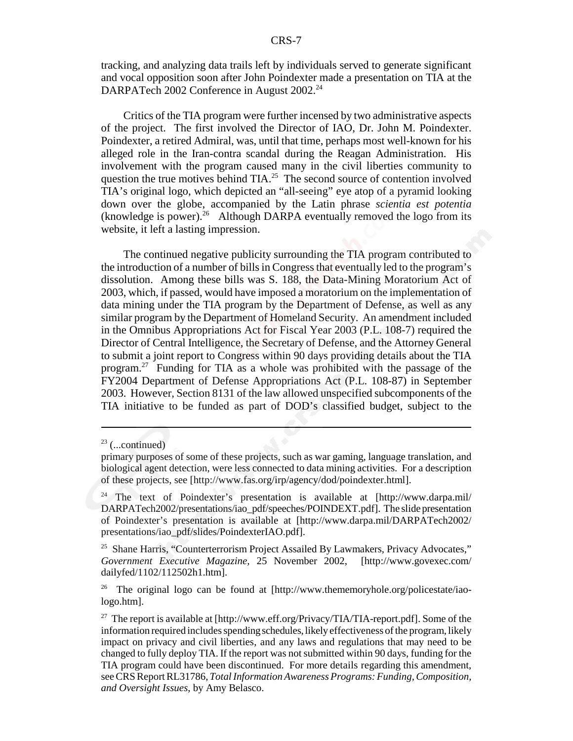tracking, and analyzing data trails left by individuals served to generate significant and vocal opposition soon after John Poindexter made a presentation on TIA at the DARPATech 2002 Conference in August 2002.<sup>24</sup>

Critics of the TIA program were further incensed by two administrative aspects of the project. The first involved the Director of IAO, Dr. John M. Poindexter. Poindexter, a retired Admiral, was, until that time, perhaps most well-known for his alleged role in the Iran-contra scandal during the Reagan Administration. His involvement with the program caused many in the civil liberties community to question the true motives behind TIA.<sup>25</sup> The second source of contention involved TIA's original logo, which depicted an "all-seeing" eye atop of a pyramid looking down over the globe, accompanied by the Latin phrase *scientia est potentia*  $(knowledge is power).$ <sup>26</sup> Although DARPA eventually removed the logo from its website, it left a lasting impression.

The continued negative publicity surrounding the TIA program contributed to the introduction of a number of bills in Congress that eventually led to the program's dissolution. Among these bills was S. 188, the Data-Mining Moratorium Act of 2003, which, if passed, would have imposed a moratorium on the implementation of data mining under the TIA program by the Department of Defense, as well as any similar program by the Department of Homeland Security. An amendment included in the Omnibus Appropriations Act for Fiscal Year 2003 (P.L. 108-7) required the Director of Central Intelligence, the Secretary of Defense, and the Attorney General to submit a joint report to Congress within 90 days providing details about the TIA program.<sup>27</sup> Funding for TIA as a whole was prohibited with the passage of the FY2004 Department of Defense Appropriations Act (P.L. 108-87) in September 2003. However, Section 8131 of the law allowed unspecified subcomponents of the TIA initiative to be funded as part of DOD's classified budget, subject to the

 $23$  (...continued)

primary purposes of some of these projects, such as war gaming, language translation, and biological agent detection, were less connected to data mining activities. For a description of these projects, see [http://www.fas.org/irp/agency/dod/poindexter.html].

<sup>&</sup>lt;sup>24</sup> The text of Poindexter's presentation is available at [http://www.darpa.mil/ DARPATech2002/presentations/iao\_pdf/speeches/POINDEXT.pdf]. The slide presentation of Poindexter's presentation is available at [http://www.darpa.mil/DARPATech2002/ presentations/iao\_pdf/slides/PoindexterIAO.pdf].

<sup>&</sup>lt;sup>25</sup> Shane Harris, "Counterterrorism Project Assailed By Lawmakers, Privacy Advocates," *Government Executive Magazine,* 25 November 2002, [http://www.govexec.com/ dailyfed/1102/112502h1.htm].

<sup>&</sup>lt;sup>26</sup> The original logo can be found at  $[http://www.thememoryhole.org/policiesitate/iao$ logo.htm].

<sup>&</sup>lt;sup>27</sup> The report is available at  $[http://www.eff.org/Privacy/TIA/TIA-report.pdf]$ . Some of the information required includes spending schedules, likely effectiveness of the program, likely impact on privacy and civil liberties, and any laws and regulations that may need to be changed to fully deploy TIA. If the report was not submitted within 90 days, funding for the TIA program could have been discontinued. For more details regarding this amendment, see CRS Report RL31786, *Total Information Awareness Programs: Funding, Composition, and Oversight Issues*, by Amy Belasco.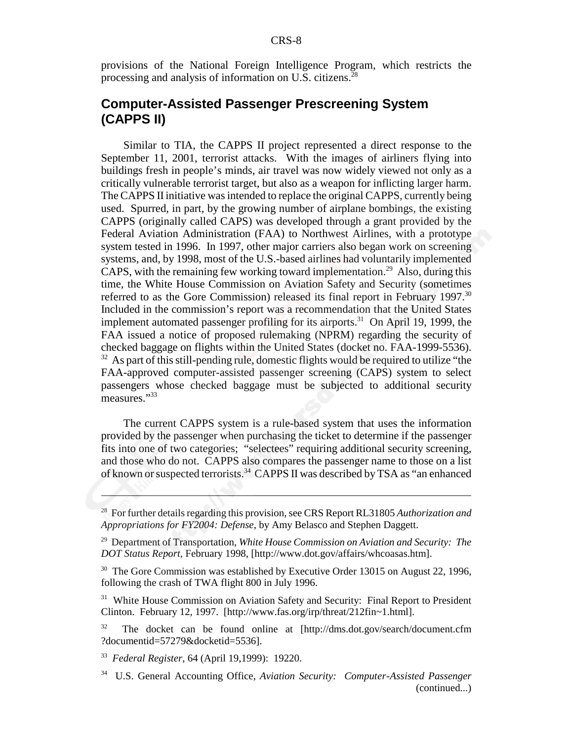provisions of the National Foreign Intelligence Program, which restricts the processing and analysis of information on U.S. citizens.28

## **Computer-Assisted Passenger Prescreening System (CAPPS II)**

Similar to TIA, the CAPPS II project represented a direct response to the September 11, 2001, terrorist attacks. With the images of airliners flying into buildings fresh in people's minds, air travel was now widely viewed not only as a critically vulnerable terrorist target, but also as a weapon for inflicting larger harm. The CAPPS II initiative was intended to replace the original CAPPS, currently being used. Spurred, in part, by the growing number of airplane bombings, the existing CAPPS (originally called CAPS) was developed through a grant provided by the Federal Aviation Administration (FAA) to Northwest Airlines, with a prototype system tested in 1996. In 1997, other major carriers also began work on screening systems, and, by 1998, most of the U.S.-based airlines had voluntarily implemented CAPS, with the remaining few working toward implementation.<sup>29</sup> Also, during this time, the White House Commission on Aviation Safety and Security (sometimes referred to as the Gore Commission) released its final report in February 1997.<sup>30</sup> Included in the commission's report was a recommendation that the United States implement automated passenger profiling for its airports.<sup>31</sup> On April 19, 1999, the FAA issued a notice of proposed rulemaking (NPRM) regarding the security of checked baggage on flights within the United States (docket no. FAA-1999-5536).  $32$  As part of this still-pending rule, domestic flights would be required to utilize "the FAA-approved computer-assisted passenger screening (CAPS) system to select passengers whose checked baggage must be subjected to additional security measures."<sup>33</sup>

The current CAPPS system is a rule-based system that uses the information provided by the passenger when purchasing the ticket to determine if the passenger fits into one of two categories; "selectees" requiring additional security screening, and those who do not. CAPPS also compares the passenger name to those on a list of known or suspected terrorists.<sup>34</sup> CAPPS II was described by TSA as "an enhanced

<sup>28</sup> For further details regarding this provision, see CRS Report RL31805 *Authorization and Appropriations for FY2004: Defense*, by Amy Belasco and Stephen Daggett.

<sup>29</sup> Department of Transportation, *White House Commission on Aviation and Security: The DOT Status Report*, February 1998, [http://www.dot.gov/affairs/whcoasas.htm].

<sup>&</sup>lt;sup>30</sup> The Gore Commission was established by Executive Order 13015 on August 22, 1996, following the crash of TWA flight 800 in July 1996.

<sup>&</sup>lt;sup>31</sup> White House Commission on Aviation Safety and Security: Final Report to President Clinton. February 12, 1997. [http://www.fas.org/irp/threat/212fin~1.html].

<sup>32</sup> The docket can be found online at [http://dms.dot.gov/search/document.cfm ?documentid=57279&docketid=5536].

<sup>33</sup> *Federal Register*, 64 (April 19,1999): 19220.

<sup>34</sup> U.S. General Accounting Office, *Aviation Security: Computer-Assisted Passenger* (continued...)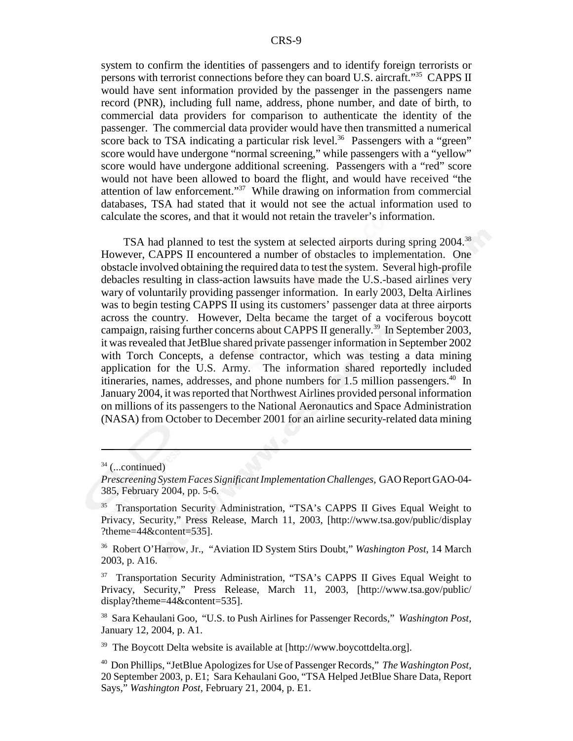system to confirm the identities of passengers and to identify foreign terrorists or persons with terrorist connections before they can board U.S. aircraft."35 CAPPS II would have sent information provided by the passenger in the passengers name record (PNR), including full name, address, phone number, and date of birth, to commercial data providers for comparison to authenticate the identity of the passenger. The commercial data provider would have then transmitted a numerical score back to TSA indicating a particular risk level.<sup>36</sup> Passengers with a "green" score would have undergone "normal screening," while passengers with a "yellow" score would have undergone additional screening. Passengers with a "red" score would not have been allowed to board the flight, and would have received "the attention of law enforcement."37 While drawing on information from commercial databases, TSA had stated that it would not see the actual information used to calculate the scores, and that it would not retain the traveler's information.

TSA had planned to test the system at selected airports during spring 2004.<sup>38</sup> However, CAPPS II encountered a number of obstacles to implementation. One obstacle involved obtaining the required data to test the system. Several high-profile debacles resulting in class-action lawsuits have made the U.S.-based airlines very wary of voluntarily providing passenger information. In early 2003, Delta Airlines was to begin testing CAPPS II using its customers' passenger data at three airports across the country. However, Delta became the target of a vociferous boycott campaign, raising further concerns about CAPPS II generally.<sup>39</sup> In September 2003, it was revealed that JetBlue shared private passenger information in September 2002 with Torch Concepts, a defense contractor, which was testing a data mining application for the U.S. Army. The information shared reportedly included itineraries, names, addresses, and phone numbers for  $1.5$  million passengers.<sup>40</sup> In January 2004, it was reported that Northwest Airlines provided personal information on millions of its passengers to the National Aeronautics and Space Administration (NASA) from October to December 2001 for an airline security-related data mining

<sup>37</sup> Transportation Security Administration, "TSA's CAPPS II Gives Equal Weight to Privacy, Security," Press Release, March 11, 2003, [http://www.tsa.gov/public/ display?theme=44&content=535].

38 Sara Kehaulani Goo, "U.S. to Push Airlines for Passenger Records," *Washington Post*, January 12, 2004, p. A1.

39 The Boycott Delta website is available at [http://www.boycottdelta.org].

 $34$  (...continued)

*Prescreening System Faces Significant Implementation Challenges*, GAO Report GAO-04- 385, February 2004, pp. 5-6.

<sup>&</sup>lt;sup>35</sup> Transportation Security Administration, "TSA's CAPPS II Gives Equal Weight to Privacy, Security," Press Release, March 11, 2003, [http://www.tsa.gov/public/display ?theme=44&content=535].

<sup>36</sup> Robert O'Harrow, Jr., "Aviation ID System Stirs Doubt," *Washington Post*, 14 March 2003, p. A16.

<sup>40</sup> Don Phillips, "JetBlue Apologizes for Use of Passenger Records," *The Washington Post*, 20 September 2003, p. E1; Sara Kehaulani Goo, "TSA Helped JetBlue Share Data, Report Says," *Washington Post*, February 21, 2004, p. E1.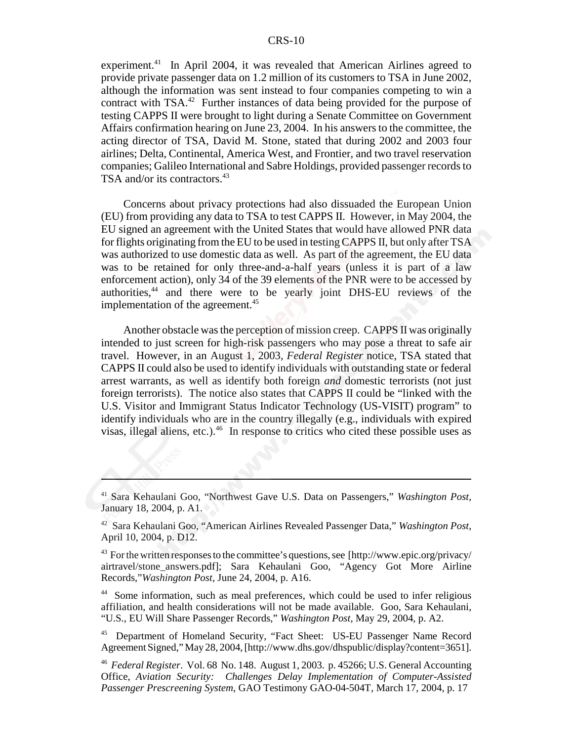experiment.<sup>41</sup> In April 2004, it was revealed that American Airlines agreed to provide private passenger data on 1.2 million of its customers to TSA in June 2002, although the information was sent instead to four companies competing to win a contract with TSA.<sup>42</sup> Further instances of data being provided for the purpose of testing CAPPS II were brought to light during a Senate Committee on Government Affairs confirmation hearing on June 23, 2004. In his answers to the committee, the acting director of TSA, David M. Stone, stated that during 2002 and 2003 four airlines; Delta, Continental, America West, and Frontier, and two travel reservation companies; Galileo International and Sabre Holdings, provided passenger records to TSA and/or its contractors.<sup>43</sup>

Concerns about privacy protections had also dissuaded the European Union (EU) from providing any data to TSA to test CAPPS II. However, in May 2004, the EU signed an agreement with the United States that would have allowed PNR data for flights originating from the EU to be used in testing CAPPS II, but only after TSA was authorized to use domestic data as well. As part of the agreement, the EU data was to be retained for only three-and-a-half years (unless it is part of a law enforcement action), only 34 of the 39 elements of the PNR were to be accessed by authorities,<sup>44</sup> and there were to be yearly joint DHS-EU reviews of the implementation of the agreement.<sup>45</sup>

Another obstacle was the perception of mission creep. CAPPS II was originally intended to just screen for high-risk passengers who may pose a threat to safe air travel. However, in an August 1, 2003, *Federal Register* notice, TSA stated that CAPPS II could also be used to identify individuals with outstanding state or federal arrest warrants, as well as identify both foreign *and* domestic terrorists (not just foreign terrorists). The notice also states that CAPPS II could be "linked with the U.S. Visitor and Immigrant Status Indicator Technology (US-VISIT) program" to identify individuals who are in the country illegally (e.g., individuals with expired visas, illegal aliens, etc.). $46$  In response to critics who cited these possible uses as

<sup>41</sup> Sara Kehaulani Goo, "Northwest Gave U.S. Data on Passengers," *Washington Post*, January 18, 2004, p. A1.

<sup>42</sup> Sara Kehaulani Goo, "American Airlines Revealed Passenger Data," *Washington Post*, April 10, 2004, p. D12.

<sup>43</sup> For the written responses to the committee's questions, see [http://www.epic.org/privacy/ airtravel/stone\_answers.pdf]; Sara Kehaulani Goo, "Agency Got More Airline Records,"*Washington Post*, June 24, 2004, p. A16.

<sup>44</sup> Some information, such as meal preferences, which could be used to infer religious affiliation, and health considerations will not be made available. Goo, Sara Kehaulani, "U.S., EU Will Share Passenger Records," *Washington Post*, May 29, 2004, p. A2.

<sup>&</sup>lt;sup>45</sup> Department of Homeland Security, "Fact Sheet: US-EU Passenger Name Record Agreement Signed," May 28, 2004, [http://www.dhs.gov/dhspublic/display?content=3651].

<sup>46</sup> *Federal Register*. Vol. 68 No. 148. August 1, 2003. p. 45266; U.S. General Accounting Office, *Aviation Security: Challenges Delay Implementation of Computer-Assisted Passenger Prescreening System*, GAO Testimony GAO-04-504T, March 17, 2004, p. 17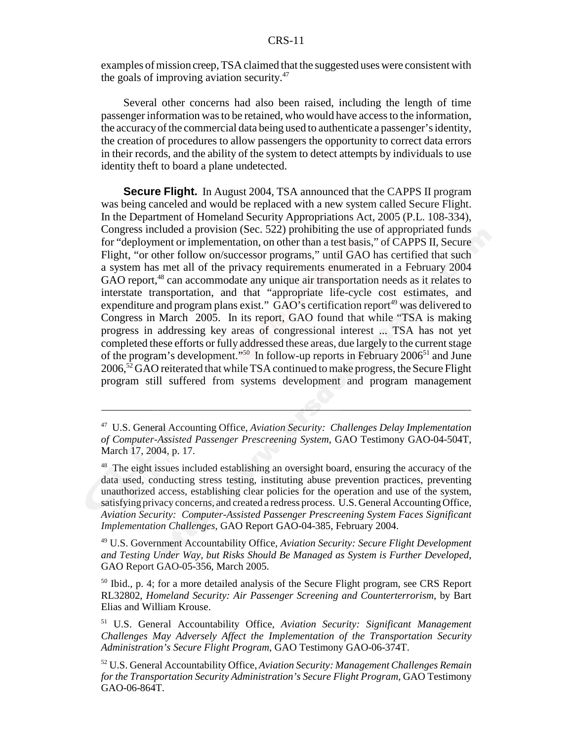examples of mission creep, TSA claimed that the suggested uses were consistent with the goals of improving aviation security. $47$ 

Several other concerns had also been raised, including the length of time passenger information was to be retained, who would have access to the information, the accuracy of the commercial data being used to authenticate a passenger's identity, the creation of procedures to allow passengers the opportunity to correct data errors in their records, and the ability of the system to detect attempts by individuals to use identity theft to board a plane undetected.

**Secure Flight.** In August 2004, TSA announced that the CAPPS II program was being canceled and would be replaced with a new system called Secure Flight. In the Department of Homeland Security Appropriations Act, 2005 (P.L. 108-334), Congress included a provision (Sec. 522) prohibiting the use of appropriated funds for "deployment or implementation, on other than a test basis," of CAPPS II, Secure Flight, "or other follow on/successor programs," until GAO has certified that such a system has met all of the privacy requirements enumerated in a February 2004 GAO report,<sup>48</sup> can accommodate any unique air transportation needs as it relates to interstate transportation, and that "appropriate life-cycle cost estimates, and expenditure and program plans exist."  $GAO$ 's certification report<sup>49</sup> was delivered to Congress in March 2005. In its report, GAO found that while "TSA is making progress in addressing key areas of congressional interest ... TSA has not yet completed these efforts or fully addressed these areas, due largely to the current stage of the program's development."50 In follow-up reports in February 200651 and June 2006,<sup>52</sup> GAO reiterated that while TSA continued to make progress, the Secure Flight program still suffered from systems development and program management

<sup>47</sup> U.S. General Accounting Office, *Aviation Security: Challenges Delay Implementation of Computer-Assisted Passenger Prescreening System*, GAO Testimony GAO-04-504T, March 17, 2004, p. 17.

<sup>&</sup>lt;sup>48</sup> The eight issues included establishing an oversight board, ensuring the accuracy of the data used, conducting stress testing, instituting abuse prevention practices, preventing unauthorized access, establishing clear policies for the operation and use of the system, satisfying privacy concerns, and created a redress process. U.S. General Accounting Office, *Aviation Security: Computer-Assisted Passenger Prescreening System Faces Significant Implementation Challenges*, GAO Report GAO-04-385, February 2004.

<sup>49</sup> U.S. Government Accountability Office, *Aviation Security: Secure Flight Development and Testing Under Way, but Risks Should Be Managed as System is Further Developed*, GAO Report GAO-05-356, March 2005.

<sup>50</sup> Ibid., p. 4; for a more detailed analysis of the Secure Flight program, see CRS Report RL32802, *Homeland Security: Air Passenger Screening and Counterterrorism*, by Bart Elias and William Krouse.

<sup>51</sup> U.S. General Accountability Office, *Aviation Security: Significant Management Challenges May Adversely Affect the Implementation of the Transportation Security Administration's Secure Flight Program*, GAO Testimony GAO-06-374T.

<sup>52</sup> U.S. General Accountability Office, *Aviation Security: Management Challenges Remain for the Transportation Security Administration's Secure Flight Program*, GAO Testimony GAO-06-864T.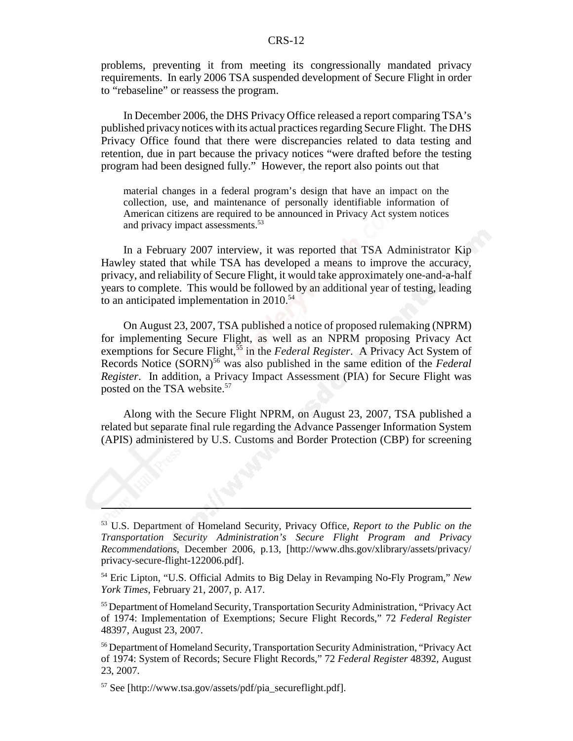problems, preventing it from meeting its congressionally mandated privacy requirements. In early 2006 TSA suspended development of Secure Flight in order to "rebaseline" or reassess the program.

In December 2006, the DHS Privacy Office released a report comparing TSA's published privacy notices with its actual practices regarding Secure Flight. The DHS Privacy Office found that there were discrepancies related to data testing and retention, due in part because the privacy notices "were drafted before the testing program had been designed fully." However, the report also points out that

material changes in a federal program's design that have an impact on the collection, use, and maintenance of personally identifiable information of American citizens are required to be announced in Privacy Act system notices and privacy impact assessments.<sup>53</sup>

In a February 2007 interview, it was reported that TSA Administrator Kip Hawley stated that while TSA has developed a means to improve the accuracy, privacy, and reliability of Secure Flight, it would take approximately one-and-a-half years to complete. This would be followed by an additional year of testing, leading to an anticipated implementation in  $2010^{54}$ 

On August 23, 2007, TSA published a notice of proposed rulemaking (NPRM) for implementing Secure Flight, as well as an NPRM proposing Privacy Act exemptions for Secure Flight,<sup>55</sup> in the *Federal Register*. A Privacy Act System of Records Notice (SORN)<sup>56</sup> was also published in the same edition of the *Federal Register*. In addition, a Privacy Impact Assessment (PIA) for Secure Flight was posted on the TSA website.<sup>57</sup>

Along with the Secure Flight NPRM, on August 23, 2007, TSA published a related but separate final rule regarding the Advance Passenger Information System (APIS) administered by U.S. Customs and Border Protection (CBP) for screening

<sup>53</sup> U.S. Department of Homeland Security, Privacy Office, *Report to the Public on the Transportation Security Administration's Secure Flight Program and Privacy Recommendations*, December 2006, p.13, [http://www.dhs.gov/xlibrary/assets/privacy/ privacy-secure-flight-122006.pdf].

<sup>54</sup> Eric Lipton, "U.S. Official Admits to Big Delay in Revamping No-Fly Program," *New York Times*, February 21, 2007, p. A17.

<sup>&</sup>lt;sup>55</sup> Department of Homeland Security, Transportation Security Administration, "Privacy Act" of 1974: Implementation of Exemptions; Secure Flight Records," 72 *Federal Register* 48397, August 23, 2007.

<sup>56</sup> Department of Homeland Security, Transportation Security Administration, "Privacy Act of 1974: System of Records; Secure Flight Records," 72 *Federal Register* 48392, August 23, 2007.

 $57$  See [http://www.tsa.gov/assets/pdf/pia\_secureflight.pdf].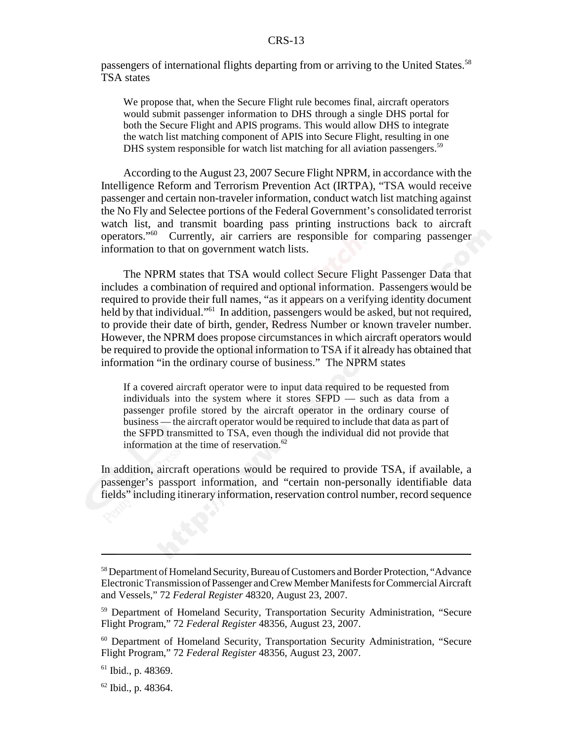passengers of international flights departing from or arriving to the United States.<sup>58</sup> TSA states

We propose that, when the Secure Flight rule becomes final, aircraft operators would submit passenger information to DHS through a single DHS portal for both the Secure Flight and APIS programs. This would allow DHS to integrate the watch list matching component of APIS into Secure Flight, resulting in one DHS system responsible for watch list matching for all aviation passengers.<sup>59</sup>

According to the August 23, 2007 Secure Flight NPRM, in accordance with the Intelligence Reform and Terrorism Prevention Act (IRTPA), "TSA would receive passenger and certain non-traveler information, conduct watch list matching against the No Fly and Selectee portions of the Federal Government's consolidated terrorist watch list, and transmit boarding pass printing instructions back to aircraft operators."60 Currently, air carriers are responsible for comparing passenger information to that on government watch lists.

The NPRM states that TSA would collect Secure Flight Passenger Data that includes a combination of required and optional information. Passengers would be required to provide their full names, "as it appears on a verifying identity document held by that individual."<sup>61</sup> In addition, passengers would be asked, but not required, to provide their date of birth, gender, Redress Number or known traveler number. However, the NPRM does propose circumstances in which aircraft operators would be required to provide the optional information to TSA if it already has obtained that information "in the ordinary course of business." The NPRM states

If a covered aircraft operator were to input data required to be requested from individuals into the system where it stores SFPD — such as data from a passenger profile stored by the aircraft operator in the ordinary course of business — the aircraft operator would be required to include that data as part of the SFPD transmitted to TSA, even though the individual did not provide that information at the time of reservation.<sup>62</sup>

In addition, aircraft operations would be required to provide TSA, if available, a passenger's passport information, and "certain non-personally identifiable data fields" including itinerary information, reservation control number, record sequence

<sup>58</sup> Department of Homeland Security, Bureau of Customers and Border Protection, "Advance Electronic Transmission of Passenger and Crew Member Manifests for Commercial Aircraft and Vessels," 72 *Federal Register* 48320, August 23, 2007.

<sup>&</sup>lt;sup>59</sup> Department of Homeland Security, Transportation Security Administration, "Secure Flight Program," 72 *Federal Register* 48356, August 23, 2007.

<sup>60</sup> Department of Homeland Security, Transportation Security Administration, "Secure Flight Program," 72 *Federal Register* 48356, August 23, 2007.

 $61$  Ibid., p. 48369.

<sup>62</sup> Ibid., p. 48364.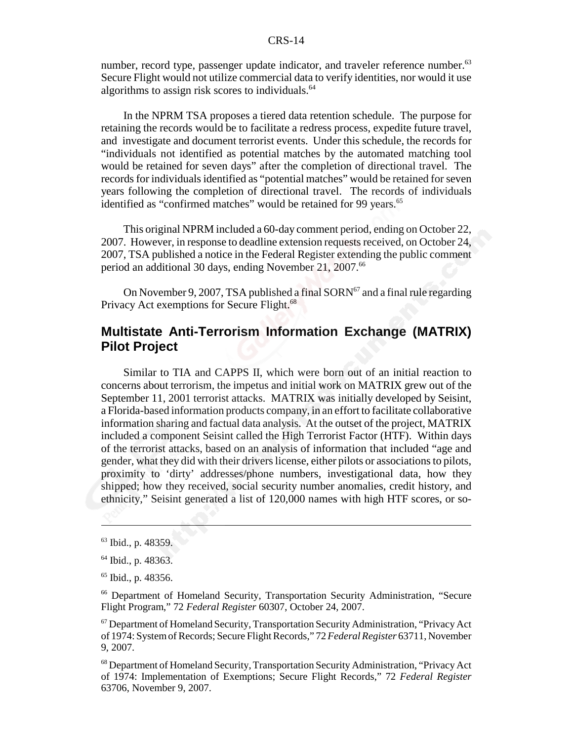number, record type, passenger update indicator, and traveler reference number.<sup>63</sup> Secure Flight would not utilize commercial data to verify identities, nor would it use algorithms to assign risk scores to individuals. $64$ 

In the NPRM TSA proposes a tiered data retention schedule. The purpose for retaining the records would be to facilitate a redress process, expedite future travel, and investigate and document terrorist events. Under this schedule, the records for "individuals not identified as potential matches by the automated matching tool would be retained for seven days" after the completion of directional travel. The records for individuals identified as "potential matches" would be retained for seven years following the completion of directional travel. The records of individuals identified as "confirmed matches" would be retained for 99 years.<sup>65</sup>

This original NPRM included a 60-day comment period, ending on October 22, 2007. However, in response to deadline extension requests received, on October 24, 2007, TSA published a notice in the Federal Register extending the public comment period an additional 30 days, ending November 21, 2007.<sup>66</sup>

On November 9, 2007, TSA published a final SORN $^{67}$  and a final rule regarding Privacy Act exemptions for Secure Flight.<sup>68</sup>

## **Multistate Anti-Terrorism Information Exchange (MATRIX) Pilot Project**

Similar to TIA and CAPPS II, which were born out of an initial reaction to concerns about terrorism, the impetus and initial work on MATRIX grew out of the September 11, 2001 terrorist attacks. MATRIX was initially developed by Seisint, a Florida-based information products company, in an effort to facilitate collaborative information sharing and factual data analysis. At the outset of the project, MATRIX included a component Seisint called the High Terrorist Factor (HTF). Within days of the terrorist attacks, based on an analysis of information that included "age and gender, what they did with their drivers license, either pilots or associations to pilots, proximity to 'dirty' addresses/phone numbers, investigational data, how they shipped; how they received, social security number anomalies, credit history, and ethnicity," Seisint generated a list of 120,000 names with high HTF scores, or so-

<sup>63</sup> Ibid., p. 48359.

<sup>64</sup> Ibid., p. 48363.

<sup>65</sup> Ibid., p. 48356.

<sup>66</sup> Department of Homeland Security, Transportation Security Administration, "Secure Flight Program," 72 *Federal Register* 60307, October 24, 2007.

 $67$  Department of Homeland Security, Transportation Security Administration, "Privacy Act" of 1974: System of Records; Secure Flight Records," 72 *Federal Register* 63711, November 9, 2007.

<sup>68</sup> Department of Homeland Security, Transportation Security Administration, "Privacy Act of 1974: Implementation of Exemptions; Secure Flight Records," 72 *Federal Register* 63706, November 9, 2007.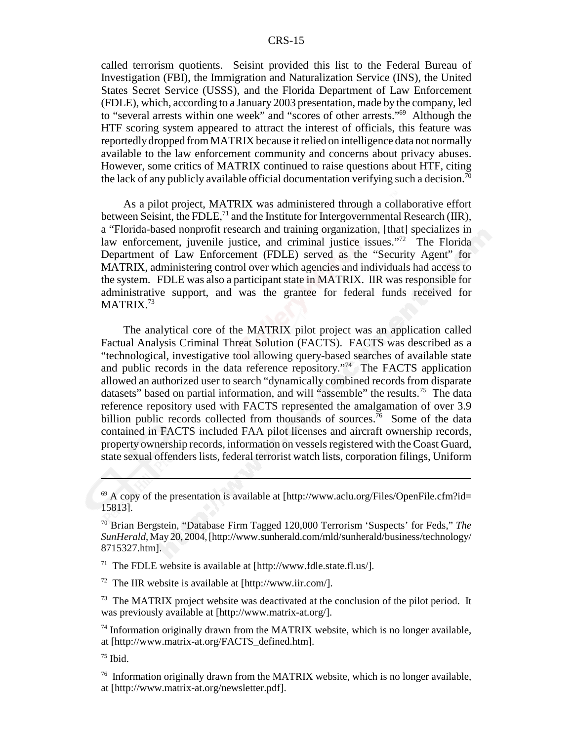called terrorism quotients. Seisint provided this list to the Federal Bureau of Investigation (FBI), the Immigration and Naturalization Service (INS), the United States Secret Service (USSS), and the Florida Department of Law Enforcement (FDLE), which, according to a January 2003 presentation, made by the company, led to "several arrests within one week" and "scores of other arrests."69 Although the HTF scoring system appeared to attract the interest of officials, this feature was reportedly dropped from MATRIX because it relied on intelligence data not normally available to the law enforcement community and concerns about privacy abuses. However, some critics of MATRIX continued to raise questions about HTF, citing the lack of any publicly available official documentation verifying such a decision.<sup>70</sup>

As a pilot project, MATRIX was administered through a collaborative effort between Seisint, the FDLE, $<sup>71</sup>$  and the Institute for Intergovernmental Research (IIR),</sup> a "Florida-based nonprofit research and training organization, [that] specializes in law enforcement, juvenile justice, and criminal justice issues."72 The Florida Department of Law Enforcement (FDLE) served as the "Security Agent" for MATRIX, administering control over which agencies and individuals had access to the system. FDLE was also a participant state in MATRIX. IIR was responsible for administrative support, and was the grantee for federal funds received for MATRIX.<sup>73</sup>

The analytical core of the MATRIX pilot project was an application called Factual Analysis Criminal Threat Solution (FACTS). FACTS was described as a "technological, investigative tool allowing query-based searches of available state and public records in the data reference repository."74 The FACTS application allowed an authorized user to search "dynamically combined records from disparate datasets" based on partial information, and will "assemble" the results.75 The data reference repository used with FACTS represented the amalgamation of over 3.9 billion public records collected from thousands of sources.<sup>76</sup> Some of the data contained in FACTS included FAA pilot licenses and aircraft ownership records, property ownership records, information on vessels registered with the Coast Guard, state sexual offenders lists, federal terrorist watch lists, corporation filings, Uniform

<sup>72</sup> The IIR website is available at  $[http://www.ir.com/]$ .

 $69$  A copy of the presentation is available at [http://www.aclu.org/Files/OpenFile.cfm?id= 15813].

<sup>70</sup> Brian Bergstein, "Database Firm Tagged 120,000 Terrorism 'Suspects' for Feds," *The SunHerald*, May 20, 2004, [http://www.sunherald.com/mld/sunherald/business/technology/ 8715327.htm].

<sup>&</sup>lt;sup>71</sup> The FDLE website is available at  $[http://www.fdle.state.fl.us/]$ .

 $<sup>73</sup>$  The MATRIX project website was deactivated at the conclusion of the pilot period. It</sup> was previously available at [http://www.matrix-at.org/].

 $74$  Information originally drawn from the MATRIX website, which is no longer available, at [http://www.matrix-at.org/FACTS\_defined.htm].

 $75$  Ibid.

 $76$  Information originally drawn from the MATRIX website, which is no longer available, at [http://www.matrix-at.org/newsletter.pdf].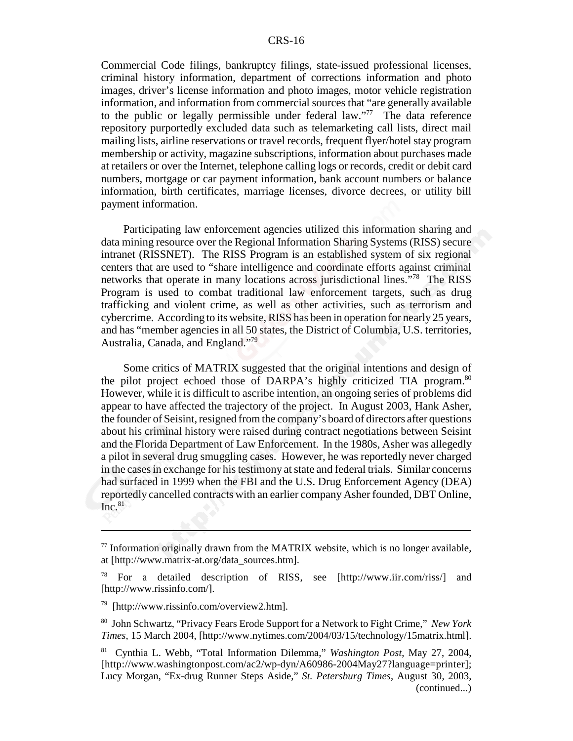Commercial Code filings, bankruptcy filings, state-issued professional licenses, criminal history information, department of corrections information and photo images, driver's license information and photo images, motor vehicle registration information, and information from commercial sources that "are generally available to the public or legally permissible under federal law."<sup>77</sup> The data reference repository purportedly excluded data such as telemarketing call lists, direct mail mailing lists, airline reservations or travel records, frequent flyer/hotel stay program membership or activity, magazine subscriptions, information about purchases made at retailers or over the Internet, telephone calling logs or records, credit or debit card numbers, mortgage or car payment information, bank account numbers or balance information, birth certificates, marriage licenses, divorce decrees, or utility bill payment information.

Participating law enforcement agencies utilized this information sharing and data mining resource over the Regional Information Sharing Systems (RISS) secure intranet (RISSNET). The RISS Program is an established system of six regional centers that are used to "share intelligence and coordinate efforts against criminal networks that operate in many locations across jurisdictional lines."78 The RISS Program is used to combat traditional law enforcement targets, such as drug trafficking and violent crime, as well as other activities, such as terrorism and cybercrime. According to its website, RISS has been in operation for nearly 25 years, and has "member agencies in all 50 states, the District of Columbia, U.S. territories, Australia, Canada, and England."79

Some critics of MATRIX suggested that the original intentions and design of the pilot project echoed those of DARPA's highly criticized TIA program.<sup>80</sup> However, while it is difficult to ascribe intention, an ongoing series of problems did appear to have affected the trajectory of the project. In August 2003, Hank Asher, the founder of Seisint, resigned from the company's board of directors after questions about his criminal history were raised during contract negotiations between Seisint and the Florida Department of Law Enforcement. In the 1980s, Asher was allegedly a pilot in several drug smuggling cases. However, he was reportedly never charged in the cases in exchange for his testimony at state and federal trials. Similar concerns had surfaced in 1999 when the FBI and the U.S. Drug Enforcement Agency (DEA) reportedly cancelled contracts with an earlier company Asher founded, DBT Online,  $Inc.<sup>81</sup>$ 

 $77$  Information originally drawn from the MATRIX website, which is no longer available, at [http://www.matrix-at.org/data\_sources.htm].

<sup>&</sup>lt;sup>78</sup> For a detailed description of RISS, see [http://www.iir.com/riss/] and [http://www.rissinfo.com/].

<sup>79 [</sup>http://www.rissinfo.com/overview2.htm].

<sup>80</sup> John Schwartz, "Privacy Fears Erode Support for a Network to Fight Crime," *New York Times*, 15 March 2004, [http://www.nytimes.com/2004/03/15/technology/15matrix.html].

<sup>81</sup> Cynthia L. Webb, "Total Information Dilemma," *Washington Post*, May 27, 2004, [http://www.washingtonpost.com/ac2/wp-dyn/A60986-2004May27?language=printer]; Lucy Morgan, "Ex-drug Runner Steps Aside," *St. Petersburg Times*, August 30, 2003, (continued...)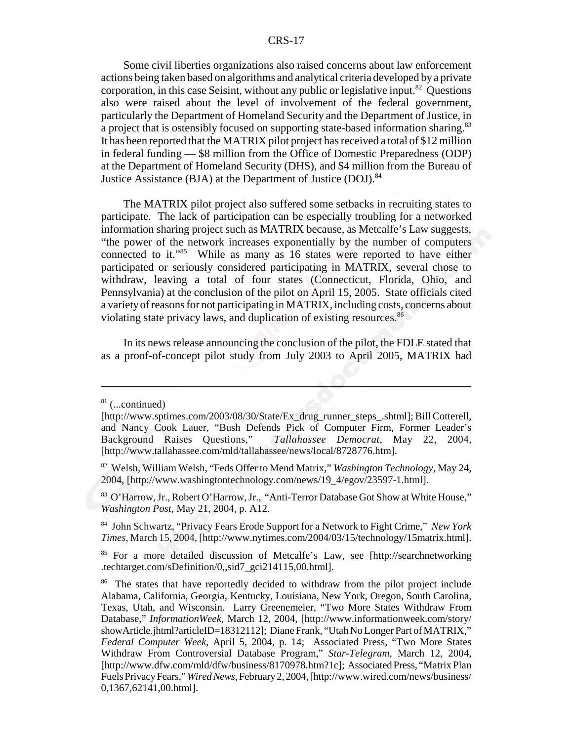Some civil liberties organizations also raised concerns about law enforcement actions being taken based on algorithms and analytical criteria developed by a private corporation, in this case Seisint, without any public or legislative input.<sup>82</sup> Questions also were raised about the level of involvement of the federal government, particularly the Department of Homeland Security and the Department of Justice, in a project that is ostensibly focused on supporting state-based information sharing.<sup>83</sup> It has been reported that the MATRIX pilot project has received a total of \$12 million in federal funding — \$8 million from the Office of Domestic Preparedness (ODP) at the Department of Homeland Security (DHS), and \$4 million from the Bureau of Justice Assistance (BJA) at the Department of Justice (DOJ).<sup>84</sup>

The MATRIX pilot project also suffered some setbacks in recruiting states to participate. The lack of participation can be especially troubling for a networked information sharing project such as MATRIX because, as Metcalfe's Law suggests, "the power of the network increases exponentially by the number of computers connected to it."85 While as many as 16 states were reported to have either participated or seriously considered participating in MATRIX, several chose to withdraw, leaving a total of four states (Connecticut, Florida, Ohio, and Pennsylvania) at the conclusion of the pilot on April 15, 2005. State officials cited a variety of reasons for not participating in MATRIX, including costs, concerns about violating state privacy laws, and duplication of existing resources.<sup>86</sup>

In its news release announcing the conclusion of the pilot, the FDLE stated that as a proof-of-concept pilot study from July 2003 to April 2005, MATRIX had

 $81$  (...continued)

<sup>[</sup>http://www.sptimes.com/2003/08/30/State/Ex\_drug\_runner\_steps\_.shtml]; Bill Cotterell, and Nancy Cook Lauer, "Bush Defends Pick of Computer Firm, Former Leader's Background Raises Questions," *Tallahassee Democrat*, May 22, 2004, [http://www.tallahassee.com/mld/tallahassee/news/local/8728776.htm].

<sup>82</sup> Welsh, William Welsh, "Feds Offer to Mend Matrix," *Washington Technology*, May 24, 2004, [http://www.washingtontechnology.com/news/19\_4/egov/23597-1.html].

<sup>83</sup> O'Harrow, Jr., Robert O'Harrow, Jr., "Anti-Terror Database Got Show at White House," *Washington Post*, May 21, 2004, p. A12.

<sup>84</sup> John Schwartz, "Privacy Fears Erode Support for a Network to Fight Crime," *New York Times*, March 15, 2004, [http://www.nytimes.com/2004/03/15/technology/15matrix.html].

<sup>85</sup> For a more detailed discussion of Metcalfe's Law, see [http://searchnetworking .techtarget.com/sDefinition/0,,sid7\_gci214115,00.html].

<sup>&</sup>lt;sup>86</sup> The states that have reportedly decided to withdraw from the pilot project include Alabama, California, Georgia, Kentucky, Louisiana, New York, Oregon, South Carolina, Texas, Utah, and Wisconsin. Larry Greenemeier, "Two More States Withdraw From Database," *InformationWeek*, March 12, 2004, [http://www.informationweek.com/story/ showArticle.jhtml?articleID=18312112]; Diane Frank, "Utah No Longer Part of MATRIX," *Federal Computer Week*, April 5, 2004, p. 14; Associated Press, "Two More States Withdraw From Controversial Database Program," *Star-Telegram*, March 12, 2004, [http://www.dfw.com/mld/dfw/business/8170978.htm?1c]; Associated Press, "Matrix Plan Fuels Privacy Fears," *Wired News*, February 2, 2004, [http://www.wired.com/news/business/ 0,1367,62141,00.html].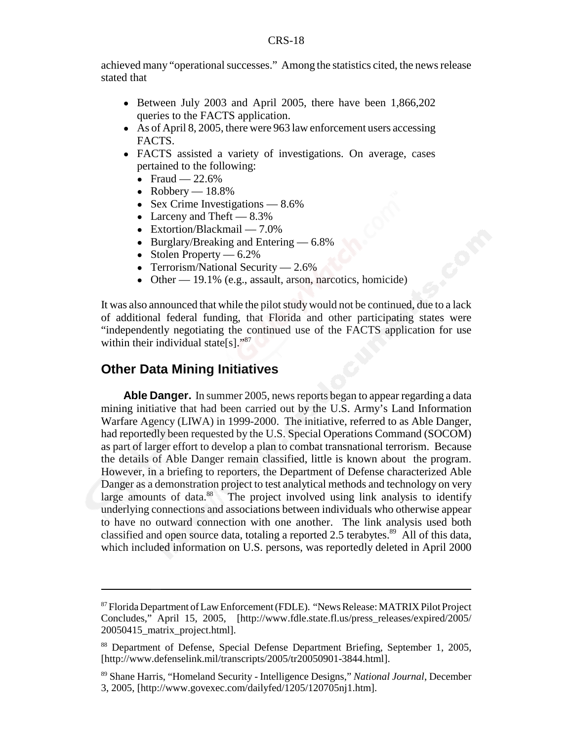achieved many "operational successes." Among the statistics cited, the news release stated that

- ! Between July 2003 and April 2005, there have been 1,866,202 queries to the FACTS application.
- As of April 8, 2005, there were 963 law enforcement users accessing FACTS.
- ! FACTS assisted a variety of investigations. On average, cases pertained to the following:
	- Fraud  $-22.6%$
	- $\bullet$  Robbery 18.8%
	- Sex Crime Investigations  $-8.6\%$
	- Larceny and Theft  $-8.3\%$
	- Extortion/Blackmail 7.0%
	- Burglary/Breaking and Entering 6.8%
	- Stolen Property  $6.2\%$
	- Terrorism/National Security  $-2.6%$
	- $\bullet$  Other 19.1% (e.g., assault, arson, narcotics, homicide)

It was also announced that while the pilot study would not be continued, due to a lack of additional federal funding, that Florida and other participating states were "independently negotiating the continued use of the FACTS application for use within their individual state[s]."<sup>87</sup>

## **Other Data Mining Initiatives**

**Able Danger.** In summer 2005, news reports began to appear regarding a data mining initiative that had been carried out by the U.S. Army's Land Information Warfare Agency (LIWA) in 1999-2000. The initiative, referred to as Able Danger, had reportedly been requested by the U.S. Special Operations Command (SOCOM) as part of larger effort to develop a plan to combat transnational terrorism. Because the details of Able Danger remain classified, little is known about the program. However, in a briefing to reporters, the Department of Defense characterized Able Danger as a demonstration project to test analytical methods and technology on very large amounts of data. $88$  The project involved using link analysis to identify underlying connections and associations between individuals who otherwise appear to have no outward connection with one another. The link analysis used both classified and open source data, totaling a reported 2.5 terabytes.<sup>89</sup> All of this data, which included information on U.S. persons, was reportedly deleted in April 2000

<sup>87</sup> Florida Department of Law Enforcement (FDLE). "News Release: MATRIX Pilot Project Concludes," April 15, 2005, [http://www.fdle.state.fl.us/press\_releases/expired/2005/ 20050415\_matrix\_project.html].

<sup>88</sup> Department of Defense, Special Defense Department Briefing, September 1, 2005, [http://www.defenselink.mil/transcripts/2005/tr20050901-3844.html].

<sup>89</sup> Shane Harris, "Homeland Security - Intelligence Designs," *National Journal*, December 3, 2005, [http://www.govexec.com/dailyfed/1205/120705nj1.htm].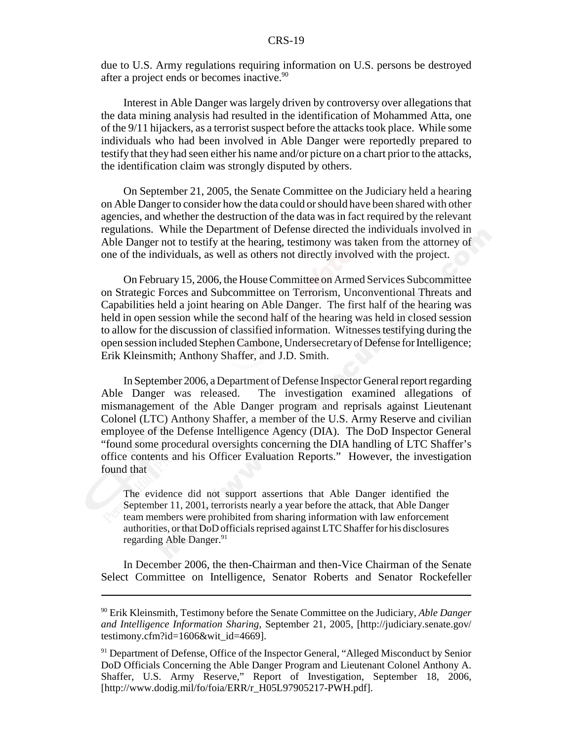due to U.S. Army regulations requiring information on U.S. persons be destroyed after a project ends or becomes inactive.<sup>90</sup>

Interest in Able Danger was largely driven by controversy over allegations that the data mining analysis had resulted in the identification of Mohammed Atta, one of the 9/11 hijackers, as a terrorist suspect before the attacks took place. While some individuals who had been involved in Able Danger were reportedly prepared to testify that they had seen either his name and/or picture on a chart prior to the attacks, the identification claim was strongly disputed by others.

On September 21, 2005, the Senate Committee on the Judiciary held a hearing on Able Danger to consider how the data could or should have been shared with other agencies, and whether the destruction of the data was in fact required by the relevant regulations. While the Department of Defense directed the individuals involved in Able Danger not to testify at the hearing, testimony was taken from the attorney of one of the individuals, as well as others not directly involved with the project.

On February 15, 2006, the House Committee on Armed Services Subcommittee on Strategic Forces and Subcommittee on Terrorism, Unconventional Threats and Capabilities held a joint hearing on Able Danger. The first half of the hearing was held in open session while the second half of the hearing was held in closed session to allow for the discussion of classified information. Witnesses testifying during the open session included Stephen Cambone, Undersecretary of Defense for Intelligence; Erik Kleinsmith; Anthony Shaffer, and J.D. Smith.

In September 2006, a Department of Defense Inspector General report regarding Able Danger was released. The investigation examined allegations of mismanagement of the Able Danger program and reprisals against Lieutenant Colonel (LTC) Anthony Shaffer, a member of the U.S. Army Reserve and civilian employee of the Defense Intelligence Agency (DIA). The DoD Inspector General "found some procedural oversights concerning the DIA handling of LTC Shaffer's office contents and his Officer Evaluation Reports." However, the investigation found that

The evidence did not support assertions that Able Danger identified the September 11, 2001, terrorists nearly a year before the attack, that Able Danger team members were prohibited from sharing information with law enforcement authorities, or that DoD officials reprised against LTC Shaffer for his disclosures regarding Able Danger.<sup>91</sup>

In December 2006, the then-Chairman and then-Vice Chairman of the Senate Select Committee on Intelligence, Senator Roberts and Senator Rockefeller

<sup>90</sup> Erik Kleinsmith, Testimony before the Senate Committee on the Judiciary, *Able Danger and Intelligence Information Sharing*, September 21, 2005, [http://judiciary.senate.gov/ testimony.cfm?id=1606&wit\_id=4669].

<sup>&</sup>lt;sup>91</sup> Department of Defense, Office of the Inspector General, "Alleged Misconduct by Senior DoD Officials Concerning the Able Danger Program and Lieutenant Colonel Anthony A. Shaffer, U.S. Army Reserve," Report of Investigation, September 18, 2006, [http://www.dodig.mil/fo/foia/ERR/r\_H05L97905217-PWH.pdf].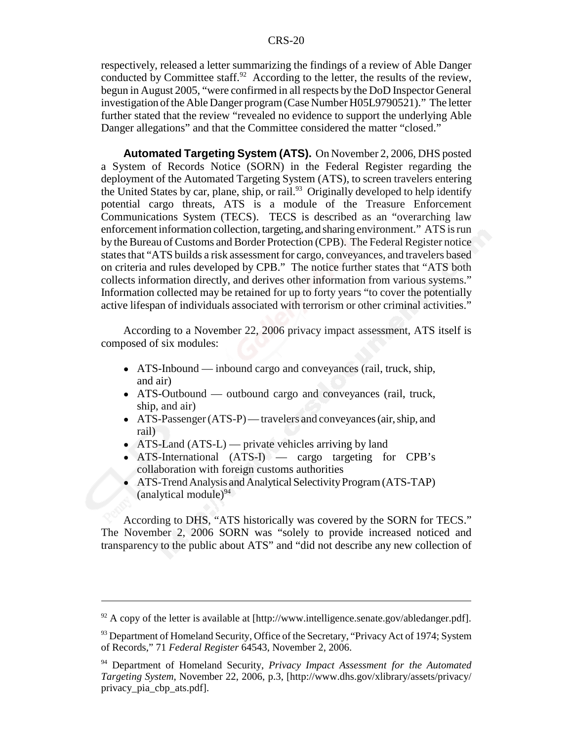respectively, released a letter summarizing the findings of a review of Able Danger conducted by Committee staff.<sup>92</sup> According to the letter, the results of the review, begun in August 2005, "were confirmed in all respects by the DoD Inspector General investigation of the Able Danger program (Case Number H05L9790521)." The letter further stated that the review "revealed no evidence to support the underlying Able Danger allegations" and that the Committee considered the matter "closed."

**Automated Targeting System (ATS).** On November 2, 2006, DHS posted a System of Records Notice (SORN) in the Federal Register regarding the deployment of the Automated Targeting System (ATS), to screen travelers entering the United States by car, plane, ship, or rail.<sup>93</sup> Originally developed to help identify potential cargo threats, ATS is a module of the Treasure Enforcement Communications System (TECS). TECS is described as an "overarching law enforcement information collection, targeting, and sharing environment." ATS is run by the Bureau of Customs and Border Protection (CPB). The Federal Register notice states that "ATS builds a risk assessment for cargo, conveyances, and travelers based on criteria and rules developed by CPB." The notice further states that "ATS both collects information directly, and derives other information from various systems." Information collected may be retained for up to forty years "to cover the potentially active lifespan of individuals associated with terrorism or other criminal activities."

According to a November 22, 2006 privacy impact assessment, ATS itself is composed of six modules:

- ATS-Inbound inbound cargo and conveyances (rail, truck, ship, and air)
- ATS-Outbound outbound cargo and conveyances (rail, truck, ship, and air)
- ATS-Passenger (ATS-P) travelers and conveyances (air, ship, and rail)
- ATS-Land (ATS-L) private vehicles arriving by land
- ATS-International (ATS-I) cargo targeting for CPB's collaboration with foreign customs authorities
- ! ATS-Trend Analysis and Analytical Selectivity Program (ATS-TAP)  $(analytical module)^{94}$

According to DHS, "ATS historically was covered by the SORN for TECS." The November 2, 2006 SORN was "solely to provide increased noticed and transparency to the public about ATS" and "did not describe any new collection of

 $92$  A copy of the letter is available at [http://www.intelligence.senate.gov/abledanger.pdf].

<sup>&</sup>lt;sup>93</sup> Department of Homeland Security, Office of the Secretary, "Privacy Act of 1974; System of Records," 71 *Federal Register* 64543, November 2, 2006.

<sup>94</sup> Department of Homeland Security, *Privacy Impact Assessment for the Automated Targeting System*, November 22, 2006, p.3, [http://www.dhs.gov/xlibrary/assets/privacy/ privacy\_pia\_cbp\_ats.pdf].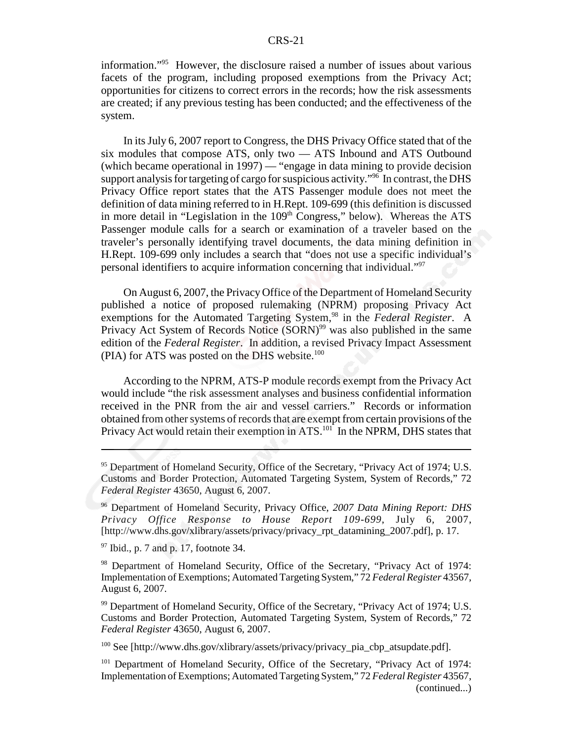information."95 However, the disclosure raised a number of issues about various facets of the program, including proposed exemptions from the Privacy Act; opportunities for citizens to correct errors in the records; how the risk assessments are created; if any previous testing has been conducted; and the effectiveness of the system.

In its July 6, 2007 report to Congress, the DHS Privacy Office stated that of the six modules that compose ATS, only two — ATS Inbound and ATS Outbound (which became operational in 1997) — "engage in data mining to provide decision support analysis for targeting of cargo for suspicious activity."<sup>96</sup> In contrast, the DHS Privacy Office report states that the ATS Passenger module does not meet the definition of data mining referred to in H.Rept. 109-699 (this definition is discussed in more detail in "Legislation in the  $109<sup>th</sup>$  Congress," below). Whereas the ATS Passenger module calls for a search or examination of a traveler based on the traveler's personally identifying travel documents, the data mining definition in H.Rept. 109-699 only includes a search that "does not use a specific individual's personal identifiers to acquire information concerning that individual."97

On August 6, 2007, the Privacy Office of the Department of Homeland Security published a notice of proposed rulemaking (NPRM) proposing Privacy Act exemptions for the Automated Targeting System,<sup>98</sup> in the *Federal Register*. A Privacy Act System of Records Notice (SORN)<sup>99</sup> was also published in the same edition of the *Federal Register*. In addition, a revised Privacy Impact Assessment (PIA) for ATS was posted on the DHS website.<sup>100</sup>

According to the NPRM, ATS-P module records exempt from the Privacy Act would include "the risk assessment analyses and business confidential information received in the PNR from the air and vessel carriers." Records or information obtained from other systems of records that are exempt from certain provisions of the Privacy Act would retain their exemption in ATS.<sup>101</sup> In the NPRM, DHS states that

98 Department of Homeland Security, Office of the Secretary, "Privacy Act of 1974: Implementation of Exemptions; Automated Targeting System," 72 *Federal Register* 43567, August 6, 2007.

<sup>99</sup> Department of Homeland Security, Office of the Secretary, "Privacy Act of 1974; U.S. Customs and Border Protection, Automated Targeting System, System of Records," 72 *Federal Register* 43650, August 6, 2007.

<sup>100</sup> See [http://www.dhs.gov/xlibrary/assets/privacy/privacy\_pia\_cbp\_atsupdate.pdf].

<sup>&</sup>lt;sup>95</sup> Department of Homeland Security, Office of the Secretary, "Privacy Act of 1974; U.S. Customs and Border Protection, Automated Targeting System, System of Records," 72 *Federal Register* 43650, August 6, 2007.

<sup>96</sup> Department of Homeland Security, Privacy Office, *2007 Data Mining Report: DHS Privacy Office Response to House Report 109-699*, July 6, 2007, [http://www.dhs.gov/xlibrary/assets/privacy/privacy\_rpt\_datamining\_2007.pdf], p. 17.

 $97$  Ibid., p. 7 and p. 17, footnote 34.

<sup>&</sup>lt;sup>101</sup> Department of Homeland Security, Office of the Secretary, "Privacy Act of 1974: Implementation of Exemptions; Automated Targeting System," 72 *Federal Register* 43567, (continued...)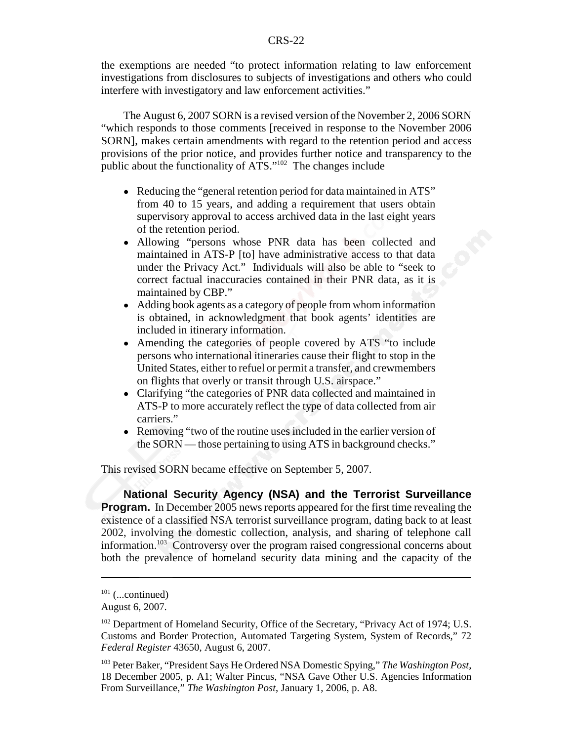the exemptions are needed "to protect information relating to law enforcement investigations from disclosures to subjects of investigations and others who could interfere with investigatory and law enforcement activities."

The August 6, 2007 SORN is a revised version of the November 2, 2006 SORN "which responds to those comments [received in response to the November 2006 SORN], makes certain amendments with regard to the retention period and access provisions of the prior notice, and provides further notice and transparency to the public about the functionality of ATS."102 The changes include

- Reducing the "general retention period for data maintained in ATS" from 40 to 15 years, and adding a requirement that users obtain supervisory approval to access archived data in the last eight years of the retention period.
- ! Allowing "persons whose PNR data has been collected and maintained in ATS-P [to] have administrative access to that data under the Privacy Act." Individuals will also be able to "seek to correct factual inaccuracies contained in their PNR data, as it is maintained by CBP."
- Adding book agents as a category of people from whom information is obtained, in acknowledgment that book agents' identities are included in itinerary information.
- Amending the categories of people covered by ATS "to include persons who international itineraries cause their flight to stop in the United States, either to refuel or permit a transfer, and crewmembers on flights that overly or transit through U.S. airspace."
- Clarifying "the categories of PNR data collected and maintained in ATS-P to more accurately reflect the type of data collected from air carriers."
- Removing "two of the routine uses included in the earlier version of the SORN — those pertaining to using ATS in background checks."

This revised SORN became effective on September 5, 2007.

**National Security Agency (NSA) and the Terrorist Surveillance Program.** In December 2005 news reports appeared for the first time revealing the existence of a classified NSA terrorist surveillance program, dating back to at least 2002, involving the domestic collection, analysis, and sharing of telephone call information.<sup>103</sup> Controversy over the program raised congressional concerns about both the prevalence of homeland security data mining and the capacity of the

 $101$  (...continued)

August 6, 2007.

<sup>&</sup>lt;sup>102</sup> Department of Homeland Security, Office of the Secretary, "Privacy Act of 1974; U.S. Customs and Border Protection, Automated Targeting System, System of Records," 72 *Federal Register* 43650, August 6, 2007.

<sup>103</sup> Peter Baker, "President Says He Ordered NSA Domestic Spying," *The Washington Post*, 18 December 2005, p. A1; Walter Pincus, "NSA Gave Other U.S. Agencies Information From Surveillance," *The Washington Post*, January 1, 2006, p. A8.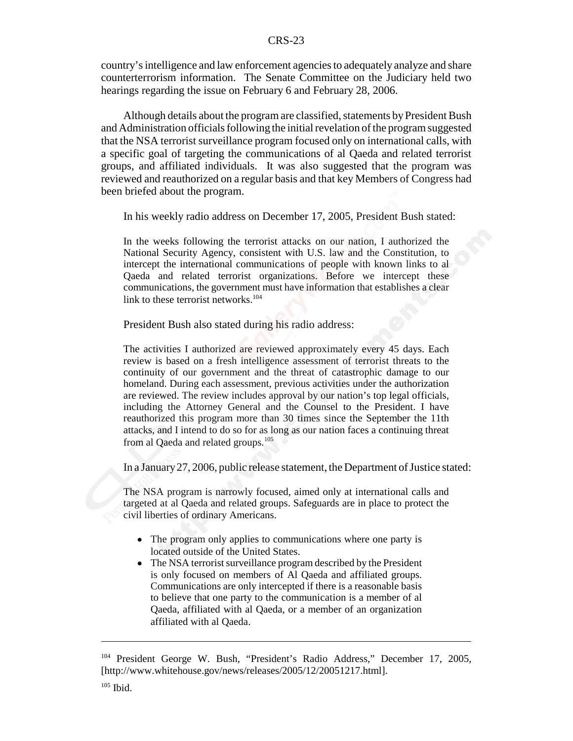country's intelligence and law enforcement agencies to adequately analyze and share counterterrorism information. The Senate Committee on the Judiciary held two hearings regarding the issue on February 6 and February 28, 2006.

Although details about the program are classified, statements by President Bush and Administration officials following the initial revelation of the program suggested that the NSA terrorist surveillance program focused only on international calls, with a specific goal of targeting the communications of al Qaeda and related terrorist groups, and affiliated individuals. It was also suggested that the program was reviewed and reauthorized on a regular basis and that key Members of Congress had been briefed about the program.

In his weekly radio address on December 17, 2005, President Bush stated:

In the weeks following the terrorist attacks on our nation, I authorized the National Security Agency, consistent with U.S. law and the Constitution, to intercept the international communications of people with known links to al Qaeda and related terrorist organizations. Before we intercept these communications, the government must have information that establishes a clear link to these terrorist networks. $104$ 

President Bush also stated during his radio address:

The activities I authorized are reviewed approximately every 45 days. Each review is based on a fresh intelligence assessment of terrorist threats to the continuity of our government and the threat of catastrophic damage to our homeland. During each assessment, previous activities under the authorization are reviewed. The review includes approval by our nation's top legal officials, including the Attorney General and the Counsel to the President. I have reauthorized this program more than 30 times since the September the 11th attacks, and I intend to do so for as long as our nation faces a continuing threat from al Qaeda and related groups.105

In a January 27, 2006, public release statement, the Department of Justice stated:

The NSA program is narrowly focused, aimed only at international calls and targeted at al Qaeda and related groups. Safeguards are in place to protect the civil liberties of ordinary Americans.

- The program only applies to communications where one party is located outside of the United States.
- The NSA terrorist surveillance program described by the President is only focused on members of Al Qaeda and affiliated groups. Communications are only intercepted if there is a reasonable basis to believe that one party to the communication is a member of al Qaeda, affiliated with al Qaeda, or a member of an organization affiliated with al Qaeda.

<sup>104</sup> President George W. Bush, "President's Radio Address," December 17, 2005, [http://www.whitehouse.gov/news/releases/2005/12/20051217.html].

 $105$  Ibid.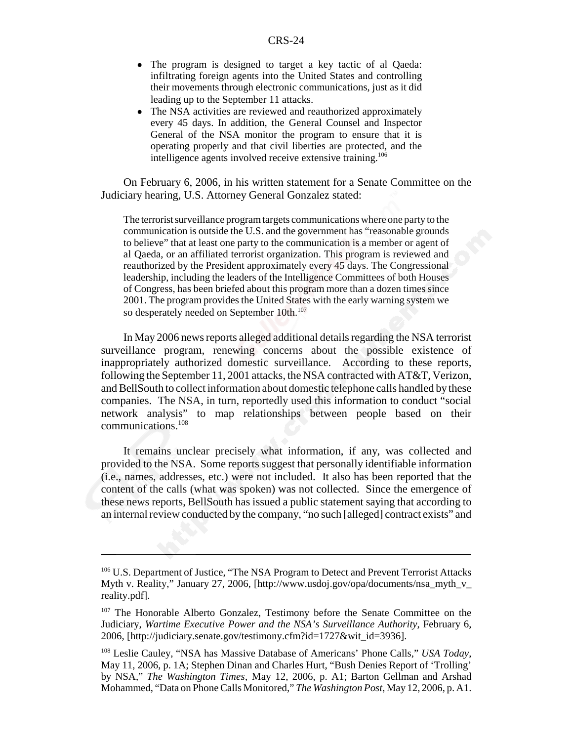- The program is designed to target a key tactic of al Qaeda: infiltrating foreign agents into the United States and controlling their movements through electronic communications, just as it did leading up to the September 11 attacks.
- The NSA activities are reviewed and reauthorized approximately every 45 days. In addition, the General Counsel and Inspector General of the NSA monitor the program to ensure that it is operating properly and that civil liberties are protected, and the intelligence agents involved receive extensive training.<sup>106</sup>

On February 6, 2006, in his written statement for a Senate Committee on the Judiciary hearing, U.S. Attorney General Gonzalez stated:

The terrorist surveillance program targets communications where one party to the communication is outside the U.S. and the government has "reasonable grounds to believe" that at least one party to the communication is a member or agent of al Qaeda, or an affiliated terrorist organization. This program is reviewed and reauthorized by the President approximately every 45 days. The Congressional leadership, including the leaders of the Intelligence Committees of both Houses of Congress, has been briefed about this program more than a dozen times since 2001. The program provides the United States with the early warning system we so desperately needed on September 10th.<sup>107</sup>

In May 2006 news reports alleged additional details regarding the NSA terrorist surveillance program, renewing concerns about the possible existence of inappropriately authorized domestic surveillance. According to these reports, following the September 11, 2001 attacks, the NSA contracted with AT&T, Verizon, and BellSouth to collect information about domestic telephone calls handled by these companies. The NSA, in turn, reportedly used this information to conduct "social network analysis" to map relationships between people based on their communications.108

It remains unclear precisely what information, if any, was collected and provided to the NSA. Some reports suggest that personally identifiable information (i.e., names, addresses, etc.) were not included. It also has been reported that the content of the calls (what was spoken) was not collected. Since the emergence of these news reports, BellSouth has issued a public statement saying that according to an internal review conducted by the company, "no such [alleged] contract exists" and

<sup>&</sup>lt;sup>106</sup> U.S. Department of Justice, "The NSA Program to Detect and Prevent Terrorist Attacks Myth v. Reality," January 27, 2006, [http://www.usdoj.gov/opa/documents/nsa\_myth\_v reality.pdf].

<sup>&</sup>lt;sup>107</sup> The Honorable Alberto Gonzalez, Testimony before the Senate Committee on the Judiciary, *Wartime Executive Power and the NSA's Surveillance Authority*, February 6, 2006, [http://judiciary.senate.gov/testimony.cfm?id=1727&wit\_id=3936].

<sup>108</sup> Leslie Cauley, "NSA has Massive Database of Americans' Phone Calls," *USA Today*, May 11, 2006, p. 1A; Stephen Dinan and Charles Hurt, "Bush Denies Report of 'Trolling' by NSA," *The Washington Times*, May 12, 2006, p. A1; Barton Gellman and Arshad Mohammed, "Data on Phone Calls Monitored," *The Washington Post*, May 12, 2006, p. A1.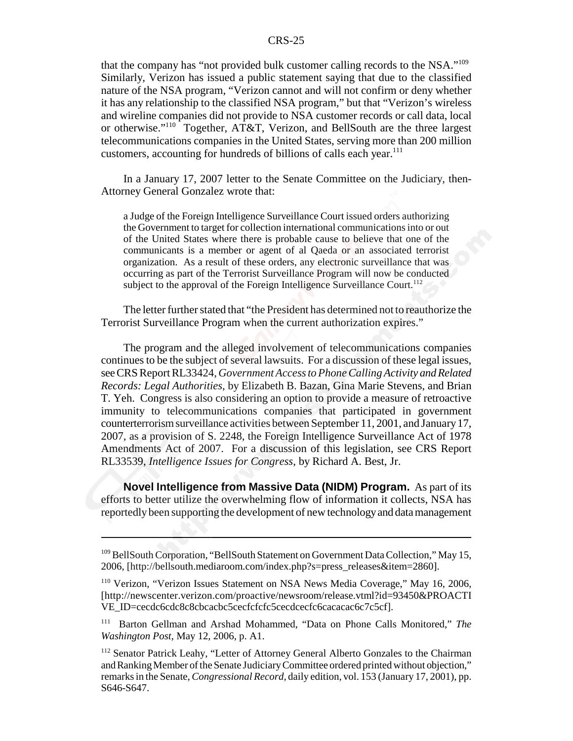that the company has "not provided bulk customer calling records to the NSA."109 Similarly, Verizon has issued a public statement saying that due to the classified nature of the NSA program, "Verizon cannot and will not confirm or deny whether it has any relationship to the classified NSA program," but that "Verizon's wireless and wireline companies did not provide to NSA customer records or call data, local or otherwise."110 Together, AT&T, Verizon, and BellSouth are the three largest telecommunications companies in the United States, serving more than 200 million customers, accounting for hundreds of billions of calls each year.<sup>111</sup>

In a January 17, 2007 letter to the Senate Committee on the Judiciary, then-Attorney General Gonzalez wrote that:

a Judge of the Foreign Intelligence Surveillance Court issued orders authorizing the Government to target for collection international communications into or out of the United States where there is probable cause to believe that one of the communicants is a member or agent of al Qaeda or an associated terrorist organization. As a result of these orders, any electronic surveillance that was occurring as part of the Terrorist Surveillance Program will now be conducted subject to the approval of the Foreign Intelligence Surveillance Court.<sup>112</sup>

The letter further stated that "the President has determined not to reauthorize the Terrorist Surveillance Program when the current authorization expires."

The program and the alleged involvement of telecommunications companies continues to be the subject of several lawsuits. For a discussion of these legal issues, see CRS Report RL33424, *Government Access to Phone Calling Activity and Related Records: Legal Authorities*, by Elizabeth B. Bazan, Gina Marie Stevens, and Brian T. Yeh. Congress is also considering an option to provide a measure of retroactive immunity to telecommunications companies that participated in government counterterrorism surveillance activities between September 11, 2001, and January 17, 2007, as a provision of S. 2248, the Foreign Intelligence Surveillance Act of 1978 Amendments Act of 2007. For a discussion of this legislation, see CRS Report RL33539, *Intelligence Issues for Congress*, by Richard A. Best, Jr.

**Novel Intelligence from Massive Data (NIDM) Program.** As part of its efforts to better utilize the overwhelming flow of information it collects, NSA has reportedly been supporting the development of new technology and data management

<sup>109</sup> BellSouth Corporation, "BellSouth Statement on Government Data Collection," May 15, 2006, [http://bellsouth.mediaroom.com/index.php?s=press\_releases&item=2860].

<sup>110</sup> Verizon, "Verizon Issues Statement on NSA News Media Coverage," May 16, 2006, [http://newscenter.verizon.com/proactive/newsroom/release.vtml?id=93450&PROACTI VE\_ID=cecdc6cdc8c8cbcacbc5cecfcfcfc5cecdcecfc6cacacac6c7c5cf].

<sup>111</sup> Barton Gellman and Arshad Mohammed, "Data on Phone Calls Monitored," *The Washington Post*, May 12, 2006, p. A1.

<sup>&</sup>lt;sup>112</sup> Senator Patrick Leahy, "Letter of Attorney General Alberto Gonzales to the Chairman and Ranking Member of the Senate Judiciary Committee ordered printed without objection," remarks in the Senate, *Congressional Record*, daily edition, vol. 153 (January 17, 2001), pp. S646-S647.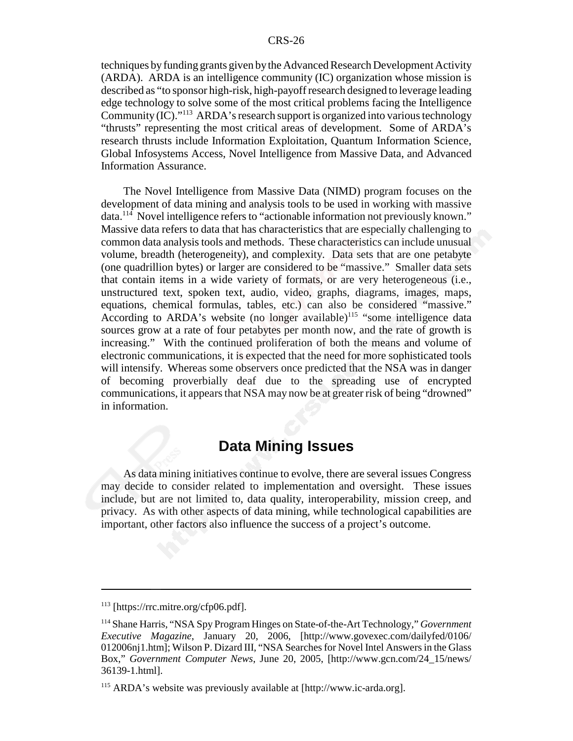techniques by funding grants given by the Advanced Research Development Activity (ARDA). ARDA is an intelligence community (IC) organization whose mission is described as "to sponsor high-risk, high-payoff research designed to leverage leading edge technology to solve some of the most critical problems facing the Intelligence Community (IC)."113 ARDA's research support is organized into various technology "thrusts" representing the most critical areas of development. Some of ARDA's research thrusts include Information Exploitation, Quantum Information Science, Global Infosystems Access, Novel Intelligence from Massive Data, and Advanced Information Assurance.

The Novel Intelligence from Massive Data (NIMD) program focuses on the development of data mining and analysis tools to be used in working with massive data.<sup>114</sup> Novel intelligence refers to "actionable information not previously known." Massive data refers to data that has characteristics that are especially challenging to common data analysis tools and methods. These characteristics can include unusual volume, breadth (heterogeneity), and complexity. Data sets that are one petabyte (one quadrillion bytes) or larger are considered to be "massive." Smaller data sets that contain items in a wide variety of formats, or are very heterogeneous (i.e., unstructured text, spoken text, audio, video, graphs, diagrams, images, maps, equations, chemical formulas, tables, etc.) can also be considered "massive." According to ARDA's website (no longer available)<sup>115</sup> "some intelligence data sources grow at a rate of four petabytes per month now, and the rate of growth is increasing." With the continued proliferation of both the means and volume of electronic communications, it is expected that the need for more sophisticated tools will intensify. Whereas some observers once predicted that the NSA was in danger of becoming proverbially deaf due to the spreading use of encrypted communications, it appears that NSA may now be at greater risk of being "drowned" in information.

# **Data Mining Issues**

As data mining initiatives continue to evolve, there are several issues Congress may decide to consider related to implementation and oversight. These issues include, but are not limited to, data quality, interoperability, mission creep, and privacy. As with other aspects of data mining, while technological capabilities are important, other factors also influence the success of a project's outcome.

 $113$  [https://rrc.mitre.org/cfp06.pdf].

<sup>114</sup> Shane Harris, "NSA Spy Program Hinges on State-of-the-Art Technology," *Government Executive Magazine*, January 20, 2006, [http://www.govexec.com/dailyfed/0106/ 012006nj1.htm]; Wilson P. Dizard III, "NSA Searches for Novel Intel Answers in the Glass Box," *Government Computer News*, June 20, 2005, [http://www.gcn.com/24\_15/news/ 36139-1.html].

<sup>115</sup> ARDA's website was previously available at [http://www.ic-arda.org].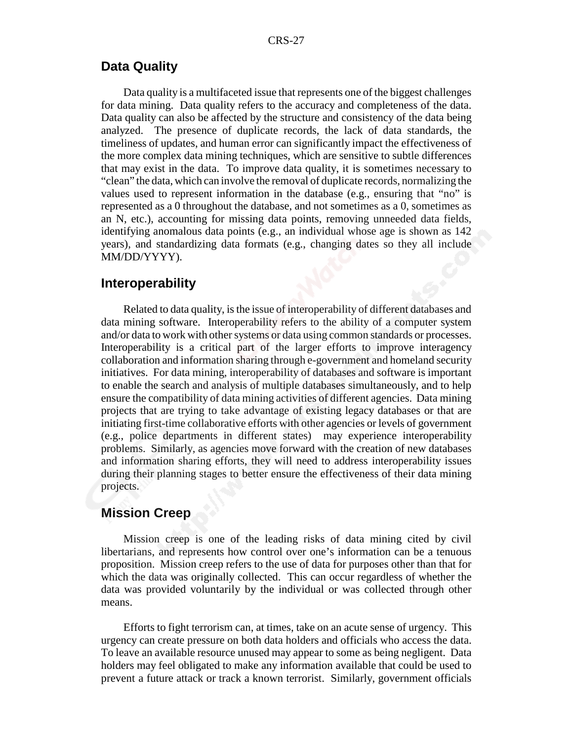### **Data Quality**

Data quality is a multifaceted issue that represents one of the biggest challenges for data mining. Data quality refers to the accuracy and completeness of the data. Data quality can also be affected by the structure and consistency of the data being analyzed. The presence of duplicate records, the lack of data standards, the timeliness of updates, and human error can significantly impact the effectiveness of the more complex data mining techniques, which are sensitive to subtle differences that may exist in the data. To improve data quality, it is sometimes necessary to "clean" the data, which can involve the removal of duplicate records, normalizing the values used to represent information in the database (e.g., ensuring that "no" is represented as a 0 throughout the database, and not sometimes as a 0, sometimes as an N, etc.), accounting for missing data points, removing unneeded data fields, identifying anomalous data points (e.g., an individual whose age is shown as 142 years), and standardizing data formats (e.g., changing dates so they all include MM/DD/YYYY).

## **Interoperability**

Related to data quality, is the issue of interoperability of different databases and data mining software. Interoperability refers to the ability of a computer system and/or data to work with other systems or data using common standards or processes. Interoperability is a critical part of the larger efforts to improve interagency collaboration and information sharing through e-government and homeland security initiatives. For data mining, interoperability of databases and software is important to enable the search and analysis of multiple databases simultaneously, and to help ensure the compatibility of data mining activities of different agencies. Data mining projects that are trying to take advantage of existing legacy databases or that are initiating first-time collaborative efforts with other agencies or levels of government (e.g., police departments in different states) may experience interoperability problems. Similarly, as agencies move forward with the creation of new databases and information sharing efforts, they will need to address interoperability issues during their planning stages to better ensure the effectiveness of their data mining projects.

## **Mission Creep**

Mission creep is one of the leading risks of data mining cited by civil libertarians, and represents how control over one's information can be a tenuous proposition. Mission creep refers to the use of data for purposes other than that for which the data was originally collected. This can occur regardless of whether the data was provided voluntarily by the individual or was collected through other means.

Efforts to fight terrorism can, at times, take on an acute sense of urgency. This urgency can create pressure on both data holders and officials who access the data. To leave an available resource unused may appear to some as being negligent. Data holders may feel obligated to make any information available that could be used to prevent a future attack or track a known terrorist. Similarly, government officials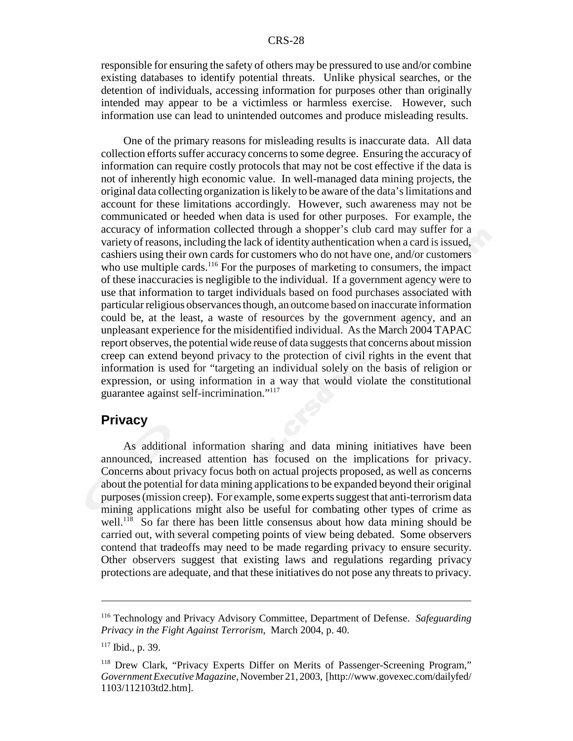responsible for ensuring the safety of others may be pressured to use and/or combine existing databases to identify potential threats. Unlike physical searches, or the detention of individuals, accessing information for purposes other than originally intended may appear to be a victimless or harmless exercise. However, such information use can lead to unintended outcomes and produce misleading results.

One of the primary reasons for misleading results is inaccurate data. All data collection efforts suffer accuracy concerns to some degree. Ensuring the accuracy of information can require costly protocols that may not be cost effective if the data is not of inherently high economic value. In well-managed data mining projects, the original data collecting organization is likely to be aware of the data's limitations and account for these limitations accordingly. However, such awareness may not be communicated or heeded when data is used for other purposes. For example, the accuracy of information collected through a shopper's club card may suffer for a variety of reasons, including the lack of identity authentication when a card is issued, cashiers using their own cards for customers who do not have one, and/or customers who use multiple cards.<sup>116</sup> For the purposes of marketing to consumers, the impact of these inaccuracies is negligible to the individual. If a government agency were to use that information to target individuals based on food purchases associated with particular religious observances though, an outcome based on inaccurate information could be, at the least, a waste of resources by the government agency, and an unpleasant experience for the misidentified individual. As the March 2004 TAPAC report observes, the potential wide reuse of data suggests that concerns about mission creep can extend beyond privacy to the protection of civil rights in the event that information is used for "targeting an individual solely on the basis of religion or expression, or using information in a way that would violate the constitutional guarantee against self-incrimination."117

## **Privacy**

As additional information sharing and data mining initiatives have been announced, increased attention has focused on the implications for privacy. Concerns about privacy focus both on actual projects proposed, as well as concerns about the potential for data mining applications to be expanded beyond their original purposes (mission creep). For example, some experts suggest that anti-terrorism data mining applications might also be useful for combating other types of crime as well.<sup>118</sup> So far there has been little consensus about how data mining should be carried out, with several competing points of view being debated. Some observers contend that tradeoffs may need to be made regarding privacy to ensure security. Other observers suggest that existing laws and regulations regarding privacy protections are adequate, and that these initiatives do not pose any threats to privacy.

<sup>116</sup> Technology and Privacy Advisory Committee, Department of Defense. *Safeguarding Privacy in the Fight Against Terrorism*, March 2004, p. 40.

<sup>117</sup> Ibid., p. 39.

<sup>118</sup> Drew Clark, "Privacy Experts Differ on Merits of Passenger-Screening Program," *Government Executive Magazine*, November 21, 2003, [http://www.govexec.com/dailyfed/ 1103/112103td2.htm].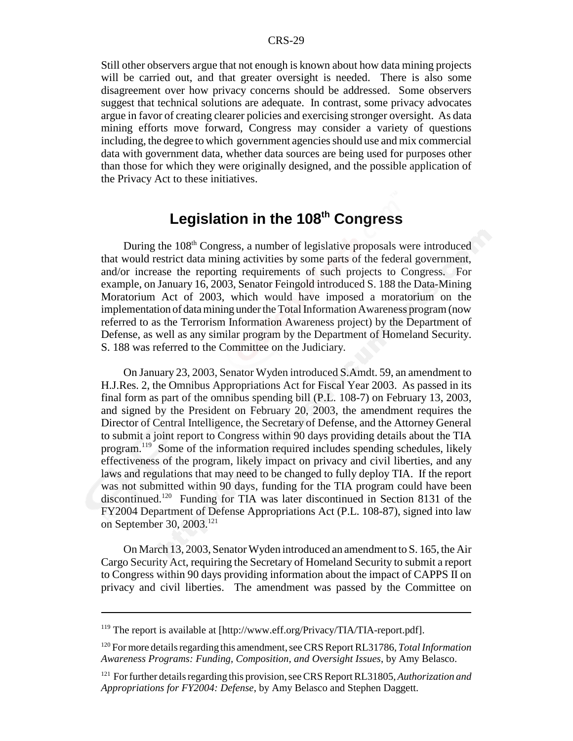Still other observers argue that not enough is known about how data mining projects will be carried out, and that greater oversight is needed. There is also some disagreement over how privacy concerns should be addressed. Some observers suggest that technical solutions are adequate. In contrast, some privacy advocates argue in favor of creating clearer policies and exercising stronger oversight. As data mining efforts move forward, Congress may consider a variety of questions including, the degree to which government agencies should use and mix commercial data with government data, whether data sources are being used for purposes other than those for which they were originally designed, and the possible application of the Privacy Act to these initiatives.

# Legislation in the 108<sup>th</sup> Congress

During the 108<sup>th</sup> Congress, a number of legislative proposals were introduced that would restrict data mining activities by some parts of the federal government, and/or increase the reporting requirements of such projects to Congress. For example, on January 16, 2003, Senator Feingold introduced S. 188 the Data-Mining Moratorium Act of 2003, which would have imposed a moratorium on the implementation of data mining under the Total Information Awareness program (now referred to as the Terrorism Information Awareness project) by the Department of Defense, as well as any similar program by the Department of Homeland Security. S. 188 was referred to the Committee on the Judiciary.

On January 23, 2003, Senator Wyden introduced S.Amdt. 59, an amendment to H.J.Res. 2, the Omnibus Appropriations Act for Fiscal Year 2003. As passed in its final form as part of the omnibus spending bill (P.L. 108-7) on February 13, 2003, and signed by the President on February 20, 2003, the amendment requires the Director of Central Intelligence, the Secretary of Defense, and the Attorney General to submit a joint report to Congress within 90 days providing details about the TIA program.119 Some of the information required includes spending schedules, likely effectiveness of the program, likely impact on privacy and civil liberties, and any laws and regulations that may need to be changed to fully deploy TIA. If the report was not submitted within 90 days, funding for the TIA program could have been discontinued.120 Funding for TIA was later discontinued in Section 8131 of the FY2004 Department of Defense Appropriations Act (P.L. 108-87), signed into law on September 30, 2003.121

On March 13, 2003, Senator Wyden introduced an amendment to S. 165, the Air Cargo Security Act, requiring the Secretary of Homeland Security to submit a report to Congress within 90 days providing information about the impact of CAPPS II on privacy and civil liberties. The amendment was passed by the Committee on

<sup>&</sup>lt;sup>119</sup> The report is available at [http://www.eff.org/Privacy/TIA/TIA-report.pdf].

<sup>120</sup> For more details regarding this amendment, see CRS Report RL31786, *Total Information Awareness Programs: Funding, Composition, and Oversight Issues*, by Amy Belasco.

<sup>121</sup> For further details regarding this provision, see CRS Report RL31805, *Authorization and Appropriations for FY2004: Defense*, by Amy Belasco and Stephen Daggett.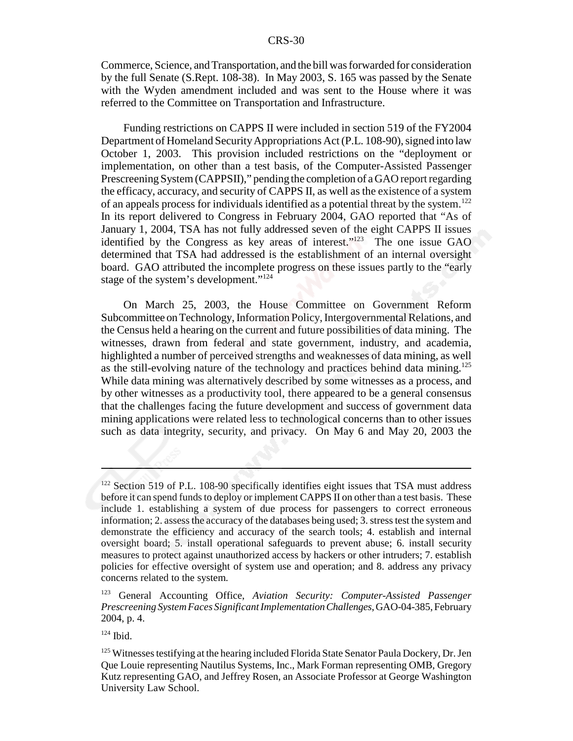Commerce, Science, and Transportation, and the bill was forwarded for consideration by the full Senate (S.Rept. 108-38). In May 2003, S. 165 was passed by the Senate with the Wyden amendment included and was sent to the House where it was referred to the Committee on Transportation and Infrastructure.

Funding restrictions on CAPPS II were included in section 519 of the FY2004 Department of Homeland Security Appropriations Act (P.L. 108-90), signed into law October 1, 2003. This provision included restrictions on the "deployment or implementation, on other than a test basis, of the Computer-Assisted Passenger Prescreening System (CAPPSII)," pending the completion of a GAO report regarding the efficacy, accuracy, and security of CAPPS II, as well as the existence of a system of an appeals process for individuals identified as a potential threat by the system.<sup>122</sup> In its report delivered to Congress in February 2004, GAO reported that "As of January 1, 2004, TSA has not fully addressed seven of the eight CAPPS II issues identified by the Congress as key areas of interest."123 The one issue GAO determined that TSA had addressed is the establishment of an internal oversight board. GAO attributed the incomplete progress on these issues partly to the "early stage of the system's development."<sup>124</sup>

On March 25, 2003, the House Committee on Government Reform Subcommittee on Technology, Information Policy, Intergovernmental Relations, and the Census held a hearing on the current and future possibilities of data mining. The witnesses, drawn from federal and state government, industry, and academia, highlighted a number of perceived strengths and weaknesses of data mining, as well as the still-evolving nature of the technology and practices behind data mining.<sup>125</sup> While data mining was alternatively described by some witnesses as a process, and by other witnesses as a productivity tool, there appeared to be a general consensus that the challenges facing the future development and success of government data mining applications were related less to technological concerns than to other issues such as data integrity, security, and privacy. On May 6 and May 20, 2003 the

<sup>&</sup>lt;sup>122</sup> Section 519 of P.L. 108-90 specifically identifies eight issues that TSA must address before it can spend funds to deploy or implement CAPPS II on other than a test basis. These include 1. establishing a system of due process for passengers to correct erroneous information; 2. assess the accuracy of the databases being used; 3. stress test the system and demonstrate the efficiency and accuracy of the search tools; 4. establish and internal oversight board; 5. install operational safeguards to prevent abuse; 6. install security measures to protect against unauthorized access by hackers or other intruders; 7. establish policies for effective oversight of system use and operation; and 8. address any privacy concerns related to the system.

<sup>123</sup> General Accounting Office, *Aviation Security: Computer-Assisted Passenger Prescreening System Faces Significant Implementation Challenges*, GAO-04-385, February 2004, p. 4.

 $124$  Ibid.

<sup>&</sup>lt;sup>125</sup> Witnesses testifying at the hearing included Florida State Senator Paula Dockery, Dr. Jen Que Louie representing Nautilus Systems, Inc., Mark Forman representing OMB, Gregory Kutz representing GAO, and Jeffrey Rosen, an Associate Professor at George Washington University Law School.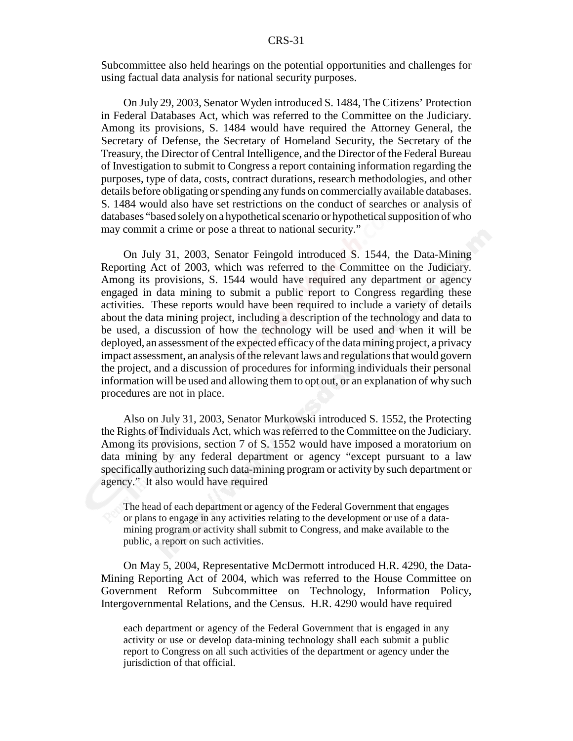Subcommittee also held hearings on the potential opportunities and challenges for using factual data analysis for national security purposes.

On July 29, 2003, Senator Wyden introduced S. 1484, The Citizens' Protection in Federal Databases Act, which was referred to the Committee on the Judiciary. Among its provisions, S. 1484 would have required the Attorney General, the Secretary of Defense, the Secretary of Homeland Security, the Secretary of the Treasury, the Director of Central Intelligence, and the Director of the Federal Bureau of Investigation to submit to Congress a report containing information regarding the purposes, type of data, costs, contract durations, research methodologies, and other details before obligating or spending any funds on commercially available databases. S. 1484 would also have set restrictions on the conduct of searches or analysis of databases "based solely on a hypothetical scenario or hypothetical supposition of who may commit a crime or pose a threat to national security."

On July 31, 2003, Senator Feingold introduced S. 1544, the Data-Mining Reporting Act of 2003, which was referred to the Committee on the Judiciary. Among its provisions, S. 1544 would have required any department or agency engaged in data mining to submit a public report to Congress regarding these activities. These reports would have been required to include a variety of details about the data mining project, including a description of the technology and data to be used, a discussion of how the technology will be used and when it will be deployed, an assessment of the expected efficacy of the data mining project, a privacy impact assessment, an analysis of the relevant laws and regulations that would govern the project, and a discussion of procedures for informing individuals their personal information will be used and allowing them to opt out, or an explanation of why such procedures are not in place.

Also on July 31, 2003, Senator Murkowski introduced S. 1552, the Protecting the Rights of Individuals Act, which was referred to the Committee on the Judiciary. Among its provisions, section 7 of S. 1552 would have imposed a moratorium on data mining by any federal department or agency "except pursuant to a law specifically authorizing such data-mining program or activity by such department or agency." It also would have required

The head of each department or agency of the Federal Government that engages or plans to engage in any activities relating to the development or use of a datamining program or activity shall submit to Congress, and make available to the public, a report on such activities.

On May 5, 2004, Representative McDermott introduced H.R. 4290, the Data-Mining Reporting Act of 2004, which was referred to the House Committee on Government Reform Subcommittee on Technology, Information Policy, Intergovernmental Relations, and the Census. H.R. 4290 would have required

each department or agency of the Federal Government that is engaged in any activity or use or develop data-mining technology shall each submit a public report to Congress on all such activities of the department or agency under the jurisdiction of that official.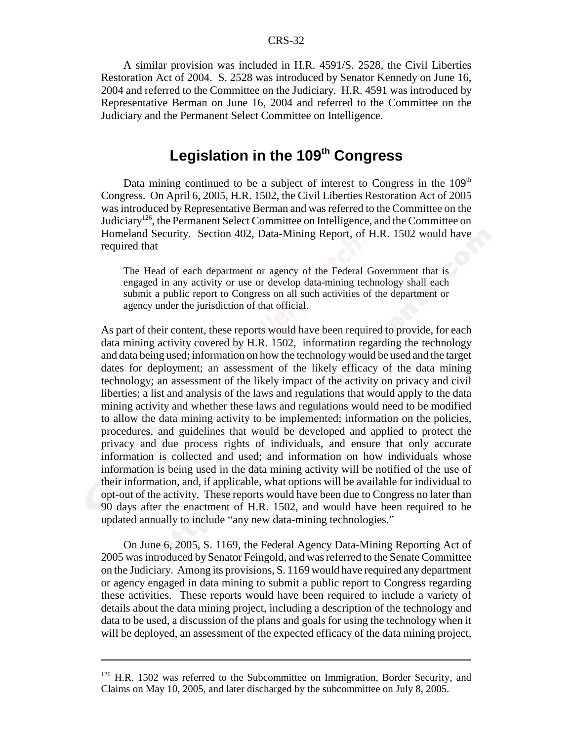A similar provision was included in H.R. 4591/S. 2528, the Civil Liberties Restoration Act of 2004. S. 2528 was introduced by Senator Kennedy on June 16, 2004 and referred to the Committee on the Judiciary. H.R. 4591 was introduced by Representative Berman on June 16, 2004 and referred to the Committee on the Judiciary and the Permanent Select Committee on Intelligence.

# Legislation in the 109<sup>th</sup> Congress

Data mining continued to be a subject of interest to Congress in the  $109<sup>th</sup>$ Congress. On April 6, 2005, H.R. 1502, the Civil Liberties Restoration Act of 2005 was introduced by Representative Berman and was referred to the Committee on the Judiciary<sup>126</sup>, the Permanent Select Committee on Intelligence, and the Committee on Homeland Security. Section 402, Data-Mining Report, of H.R. 1502 would have required that

The Head of each department or agency of the Federal Government that is engaged in any activity or use or develop data-mining technology shall each submit a public report to Congress on all such activities of the department or agency under the jurisdiction of that official.

As part of their content, these reports would have been required to provide, for each data mining activity covered by H.R. 1502, information regarding the technology and data being used; information on how the technology would be used and the target dates for deployment; an assessment of the likely efficacy of the data mining technology; an assessment of the likely impact of the activity on privacy and civil liberties; a list and analysis of the laws and regulations that would apply to the data mining activity and whether these laws and regulations would need to be modified to allow the data mining activity to be implemented; information on the policies, procedures, and guidelines that would be developed and applied to protect the privacy and due process rights of individuals, and ensure that only accurate information is collected and used; and information on how individuals whose information is being used in the data mining activity will be notified of the use of their information, and, if applicable, what options will be available for individual to opt-out of the activity. These reports would have been due to Congress no later than 90 days after the enactment of H.R. 1502, and would have been required to be updated annually to include "any new data-mining technologies."

On June 6, 2005, S. 1169, the Federal Agency Data-Mining Reporting Act of 2005 was introduced by Senator Feingold, and was referred to the Senate Committee on the Judiciary. Among its provisions, S. 1169 would have required any department or agency engaged in data mining to submit a public report to Congress regarding these activities. These reports would have been required to include a variety of details about the data mining project, including a description of the technology and data to be used, a discussion of the plans and goals for using the technology when it will be deployed, an assessment of the expected efficacy of the data mining project,

<sup>126</sup> H.R. 1502 was referred to the Subcommittee on Immigration, Border Security, and Claims on May 10, 2005, and later discharged by the subcommittee on July 8, 2005.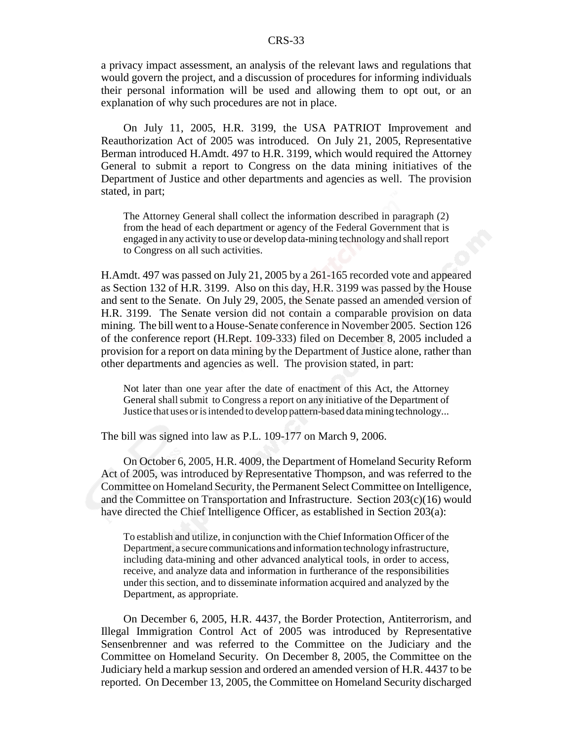a privacy impact assessment, an analysis of the relevant laws and regulations that would govern the project, and a discussion of procedures for informing individuals their personal information will be used and allowing them to opt out, or an explanation of why such procedures are not in place.

On July 11, 2005, H.R. 3199, the USA PATRIOT Improvement and Reauthorization Act of 2005 was introduced. On July 21, 2005, Representative Berman introduced H.Amdt. 497 to H.R. 3199, which would required the Attorney General to submit a report to Congress on the data mining initiatives of the Department of Justice and other departments and agencies as well. The provision stated, in part;

The Attorney General shall collect the information described in paragraph (2) from the head of each department or agency of the Federal Government that is engaged in any activity to use or develop data-mining technology and shall report to Congress on all such activities.

H.Amdt. 497 was passed on July 21, 2005 by a 261-165 recorded vote and appeared as Section 132 of H.R. 3199. Also on this day, H.R. 3199 was passed by the House and sent to the Senate. On July 29, 2005, the Senate passed an amended version of H.R. 3199. The Senate version did not contain a comparable provision on data mining. The bill went to a House-Senate conference in November 2005. Section 126 of the conference report (H.Rept. 109-333) filed on December 8, 2005 included a provision for a report on data mining by the Department of Justice alone, rather than other departments and agencies as well. The provision stated, in part:

Not later than one year after the date of enactment of this Act, the Attorney General shall submit to Congress a report on any initiative of the Department of Justice that uses or is intended to develop pattern-based data mining technology...

The bill was signed into law as P.L. 109-177 on March 9, 2006.

On October 6, 2005, H.R. 4009, the Department of Homeland Security Reform Act of 2005, was introduced by Representative Thompson, and was referred to the Committee on Homeland Security, the Permanent Select Committee on Intelligence, and the Committee on Transportation and Infrastructure. Section 203(c)(16) would have directed the Chief Intelligence Officer, as established in Section 203(a):

To establish and utilize, in conjunction with the Chief Information Officer of the Department, a secure communications and information technology infrastructure, including data-mining and other advanced analytical tools, in order to access, receive, and analyze data and information in furtherance of the responsibilities under this section, and to disseminate information acquired and analyzed by the Department, as appropriate.

On December 6, 2005, H.R. 4437, the Border Protection, Antiterrorism, and Illegal Immigration Control Act of 2005 was introduced by Representative Sensenbrenner and was referred to the Committee on the Judiciary and the Committee on Homeland Security. On December 8, 2005, the Committee on the Judiciary held a markup session and ordered an amended version of H.R. 4437 to be reported. On December 13, 2005, the Committee on Homeland Security discharged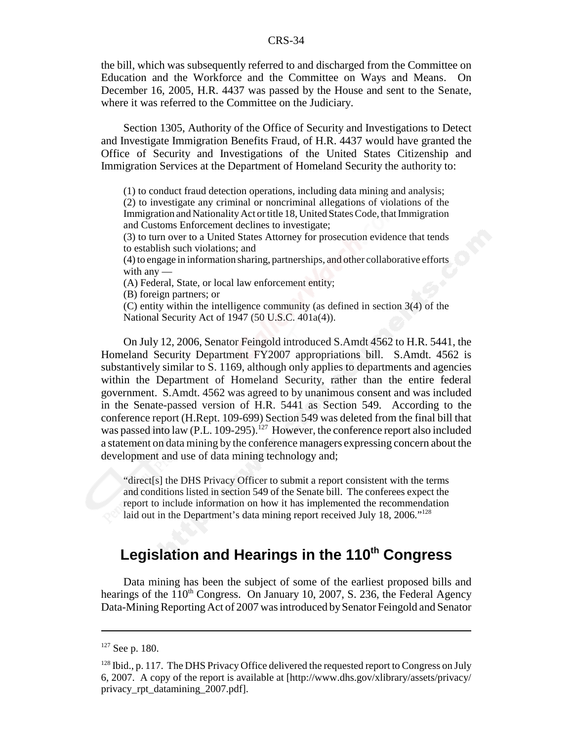the bill, which was subsequently referred to and discharged from the Committee on Education and the Workforce and the Committee on Ways and Means. On December 16, 2005, H.R. 4437 was passed by the House and sent to the Senate, where it was referred to the Committee on the Judiciary.

Section 1305, Authority of the Office of Security and Investigations to Detect and Investigate Immigration Benefits Fraud, of H.R. 4437 would have granted the Office of Security and Investigations of the United States Citizenship and Immigration Services at the Department of Homeland Security the authority to:

(1) to conduct fraud detection operations, including data mining and analysis; (2) to investigate any criminal or noncriminal allegations of violations of the Immigration and Nationality Act or title 18, United States Code, that Immigration and Customs Enforcement declines to investigate;

(3) to turn over to a United States Attorney for prosecution evidence that tends to establish such violations; and

(4) to engage in information sharing, partnerships, and other collaborative efforts with any —

(A) Federal, State, or local law enforcement entity;

(B) foreign partners; or

(C) entity within the intelligence community (as defined in section 3(4) of the National Security Act of 1947 (50 U.S.C. 401a(4)).

On July 12, 2006, Senator Feingold introduced S.Amdt 4562 to H.R. 5441, the Homeland Security Department FY2007 appropriations bill. S.Amdt. 4562 is substantively similar to S. 1169, although only applies to departments and agencies within the Department of Homeland Security, rather than the entire federal government. S.Amdt. 4562 was agreed to by unanimous consent and was included in the Senate-passed version of H.R. 5441 as Section 549. According to the conference report (H.Rept. 109-699) Section 549 was deleted from the final bill that was passed into law (P.L. 109-295).<sup>127</sup> However, the conference report also included a statement on data mining by the conference managers expressing concern about the development and use of data mining technology and;

"direct[s] the DHS Privacy Officer to submit a report consistent with the terms and conditions listed in section 549 of the Senate bill. The conferees expect the report to include information on how it has implemented the recommendation laid out in the Department's data mining report received July 18, 2006."<sup>128</sup>

# **Legislation and Hearings in the 110th Congress**

Data mining has been the subject of some of the earliest proposed bills and hearings of the  $110<sup>th</sup>$  Congress. On January 10, 2007, S. 236, the Federal Agency Data-Mining Reporting Act of 2007 was introduced by Senator Feingold and Senator

<sup>127</sup> See p. 180.

 $128$  Ibid., p. 117. The DHS Privacy Office delivered the requested report to Congress on July 6, 2007. A copy of the report is available at [http://www.dhs.gov/xlibrary/assets/privacy/ privacy\_rpt\_datamining\_2007.pdf].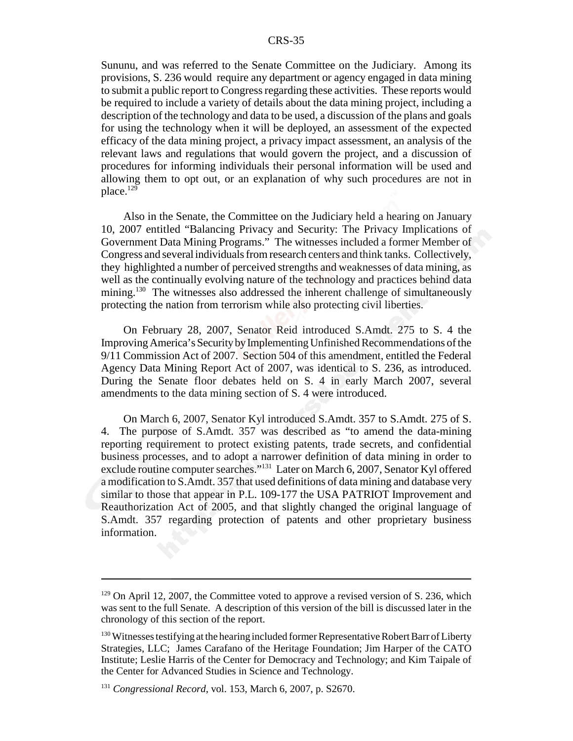Sununu, and was referred to the Senate Committee on the Judiciary. Among its provisions, S. 236 would require any department or agency engaged in data mining to submit a public report to Congress regarding these activities. These reports would be required to include a variety of details about the data mining project, including a description of the technology and data to be used, a discussion of the plans and goals for using the technology when it will be deployed, an assessment of the expected efficacy of the data mining project, a privacy impact assessment, an analysis of the relevant laws and regulations that would govern the project, and a discussion of procedures for informing individuals their personal information will be used and allowing them to opt out, or an explanation of why such procedures are not in  $place<sup>129</sup>$ 

Also in the Senate, the Committee on the Judiciary held a hearing on January 10, 2007 entitled "Balancing Privacy and Security: The Privacy Implications of Government Data Mining Programs." The witnesses included a former Member of Congress and several individuals from research centers and think tanks. Collectively, they highlighted a number of perceived strengths and weaknesses of data mining, as well as the continually evolving nature of the technology and practices behind data mining.<sup>130</sup> The witnesses also addressed the inherent challenge of simultaneously protecting the nation from terrorism while also protecting civil liberties.

On February 28, 2007, Senator Reid introduced S.Amdt. 275 to S. 4 the Improving America's Security by Implementing Unfinished Recommendations of the 9/11 Commission Act of 2007. Section 504 of this amendment, entitled the Federal Agency Data Mining Report Act of 2007, was identical to S. 236, as introduced. During the Senate floor debates held on S. 4 in early March 2007, several amendments to the data mining section of S. 4 were introduced.

On March 6, 2007, Senator Kyl introduced S.Amdt. 357 to S.Amdt. 275 of S. 4. The purpose of S.Amdt. 357 was described as "to amend the data-mining reporting requirement to protect existing patents, trade secrets, and confidential business processes, and to adopt a narrower definition of data mining in order to exclude routine computer searches."131 Later on March 6, 2007, Senator Kyl offered a modification to S.Amdt. 357 that used definitions of data mining and database very similar to those that appear in P.L. 109-177 the USA PATRIOT Improvement and Reauthorization Act of 2005, and that slightly changed the original language of S.Amdt. 357 regarding protection of patents and other proprietary business information.

 $129$  On April 12, 2007, the Committee voted to approve a revised version of S. 236, which was sent to the full Senate. A description of this version of the bill is discussed later in the chronology of this section of the report.

<sup>&</sup>lt;sup>130</sup> Witnesses testifying at the hearing included former Representative Robert Barr of Liberty Strategies, LLC; James Carafano of the Heritage Foundation; Jim Harper of the CATO Institute; Leslie Harris of the Center for Democracy and Technology; and Kim Taipale of the Center for Advanced Studies in Science and Technology.

<sup>131</sup> *Congressional Record*, vol. 153, March 6, 2007, p. S2670.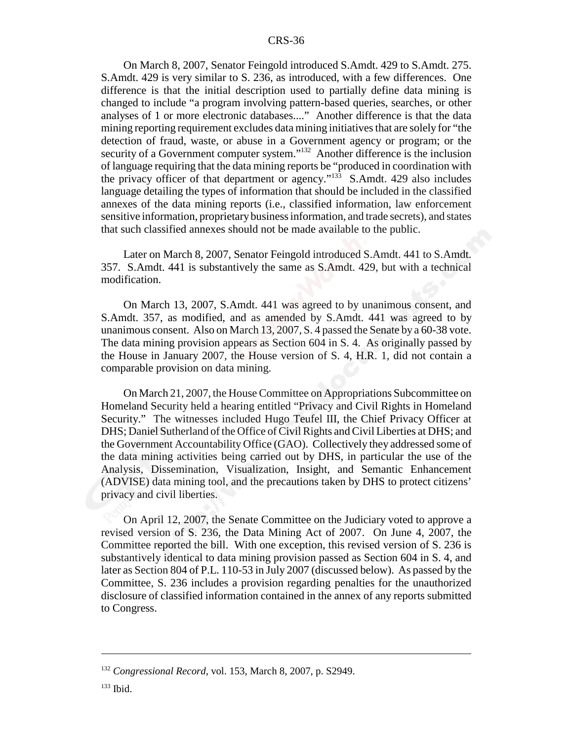On March 8, 2007, Senator Feingold introduced S.Amdt. 429 to S.Amdt. 275. S.Amdt. 429 is very similar to S. 236, as introduced, with a few differences. One difference is that the initial description used to partially define data mining is changed to include "a program involving pattern-based queries, searches, or other analyses of 1 or more electronic databases...." Another difference is that the data mining reporting requirement excludes data mining initiatives that are solely for "the detection of fraud, waste, or abuse in a Government agency or program; or the security of a Government computer system."<sup>132</sup> Another difference is the inclusion of language requiring that the data mining reports be "produced in coordination with the privacy officer of that department or agency."133 S.Amdt. 429 also includes language detailing the types of information that should be included in the classified annexes of the data mining reports (i.e., classified information, law enforcement sensitive information, proprietary business information, and trade secrets), and states that such classified annexes should not be made available to the public.

Later on March 8, 2007, Senator Feingold introduced S.Amdt. 441 to S.Amdt. 357. S.Amdt. 441 is substantively the same as S.Amdt. 429, but with a technical modification.

On March 13, 2007, S.Amdt. 441 was agreed to by unanimous consent, and S.Amdt. 357, as modified, and as amended by S.Amdt. 441 was agreed to by unanimous consent. Also on March 13, 2007, S. 4 passed the Senate by a 60-38 vote. The data mining provision appears as Section 604 in S. 4. As originally passed by the House in January 2007, the House version of S. 4, H.R. 1, did not contain a comparable provision on data mining.

On March 21, 2007, the House Committee on Appropriations Subcommittee on Homeland Security held a hearing entitled "Privacy and Civil Rights in Homeland Security." The witnesses included Hugo Teufel III, the Chief Privacy Officer at DHS; Daniel Sutherland of the Office of Civil Rights and Civil Liberties at DHS; and the Government Accountability Office (GAO). Collectively they addressed some of the data mining activities being carried out by DHS, in particular the use of the Analysis, Dissemination, Visualization, Insight, and Semantic Enhancement (ADVISE) data mining tool, and the precautions taken by DHS to protect citizens' privacy and civil liberties.

On April 12, 2007, the Senate Committee on the Judiciary voted to approve a revised version of S. 236, the Data Mining Act of 2007. On June 4, 2007, the Committee reported the bill. With one exception, this revised version of S. 236 is substantively identical to data mining provision passed as Section 604 in S. 4, and later as Section 804 of P.L. 110-53 in July 2007 (discussed below). As passed by the Committee, S. 236 includes a provision regarding penalties for the unauthorized disclosure of classified information contained in the annex of any reports submitted to Congress.

<sup>132</sup> *Congressional Record*, vol. 153, March 8, 2007, p. S2949.

 $133$  Ibid.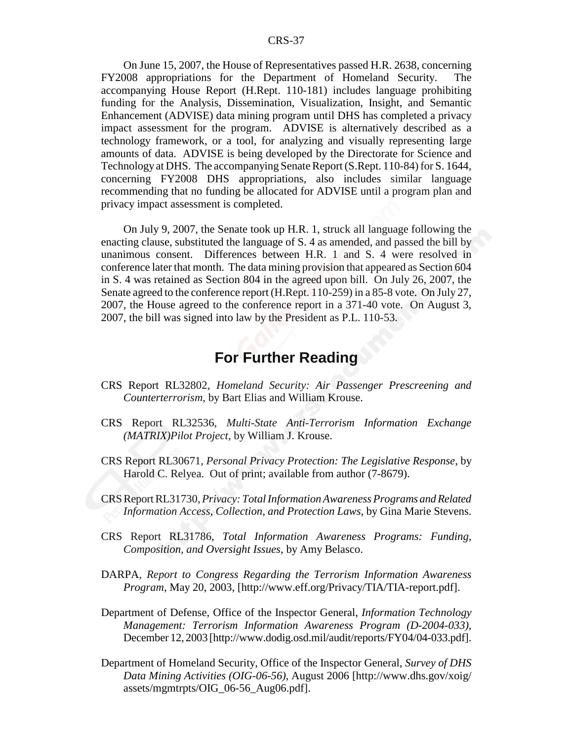On June 15, 2007, the House of Representatives passed H.R. 2638, concerning FY2008 appropriations for the Department of Homeland Security. The accompanying House Report (H.Rept. 110-181) includes language prohibiting funding for the Analysis, Dissemination, Visualization, Insight, and Semantic Enhancement (ADVISE) data mining program until DHS has completed a privacy impact assessment for the program. ADVISE is alternatively described as a technology framework, or a tool, for analyzing and visually representing large amounts of data. ADVISE is being developed by the Directorate for Science and Technology at DHS. The accompanying Senate Report (S.Rept. 110-84) for S. 1644, concerning FY2008 DHS appropriations, also includes similar language recommending that no funding be allocated for ADVISE until a program plan and privacy impact assessment is completed.

On July 9, 2007, the Senate took up H.R. 1, struck all language following the enacting clause, substituted the language of S. 4 as amended, and passed the bill by unanimous consent. Differences between H.R. 1 and S. 4 were resolved in conference later that month. The data mining provision that appeared as Section 604 in S. 4 was retained as Section 804 in the agreed upon bill. On July 26, 2007, the Senate agreed to the conference report (H.Rept. 110-259) in a 85-8 vote. On July 27, 2007, the House agreed to the conference report in a 371-40 vote. On August 3, 2007, the bill was signed into law by the President as P.L. 110-53.

# **For Further Reading**

- CRS Report RL32802, *Homeland Security: Air Passenger Prescreening and Counterterrorism*, by Bart Elias and William Krouse.
- CRS Report RL32536, *Multi-State Anti-Terrorism Information Exchange (MATRIX)Pilot Project*, by William J. Krouse.
- CRS Report RL30671, *Personal Privacy Protection: The Legislative Response*, by Harold C. Relyea. Out of print; available from author (7-8679).
- CRS Report RL31730, *Privacy: Total Information Awareness Programs and Related Information Access, Collection, and Protection Laws*, by Gina Marie Stevens.
- CRS Report RL31786, *Total Information Awareness Programs: Funding, Composition, and Oversight Issues*, by Amy Belasco.
- DARPA, *Report to Congress Regarding the Terrorism Information Awareness Program*, May 20, 2003, [http://www.eff.org/Privacy/TIA/TIA-report.pdf].
- Department of Defense, Office of the Inspector General, *Information Technology Management: Terrorism Information Awareness Program (D-2004-033)*, December 12, 2003 [http://www.dodig.osd.mil/audit/reports/FY04/04-033.pdf].
- Department of Homeland Security, Office of the Inspector General, *Survey of DHS Data Mining Activities (OIG-06-56)*, August 2006 [http://www.dhs.gov/xoig/ assets/mgmtrpts/OIG\_06-56\_Aug06.pdf].